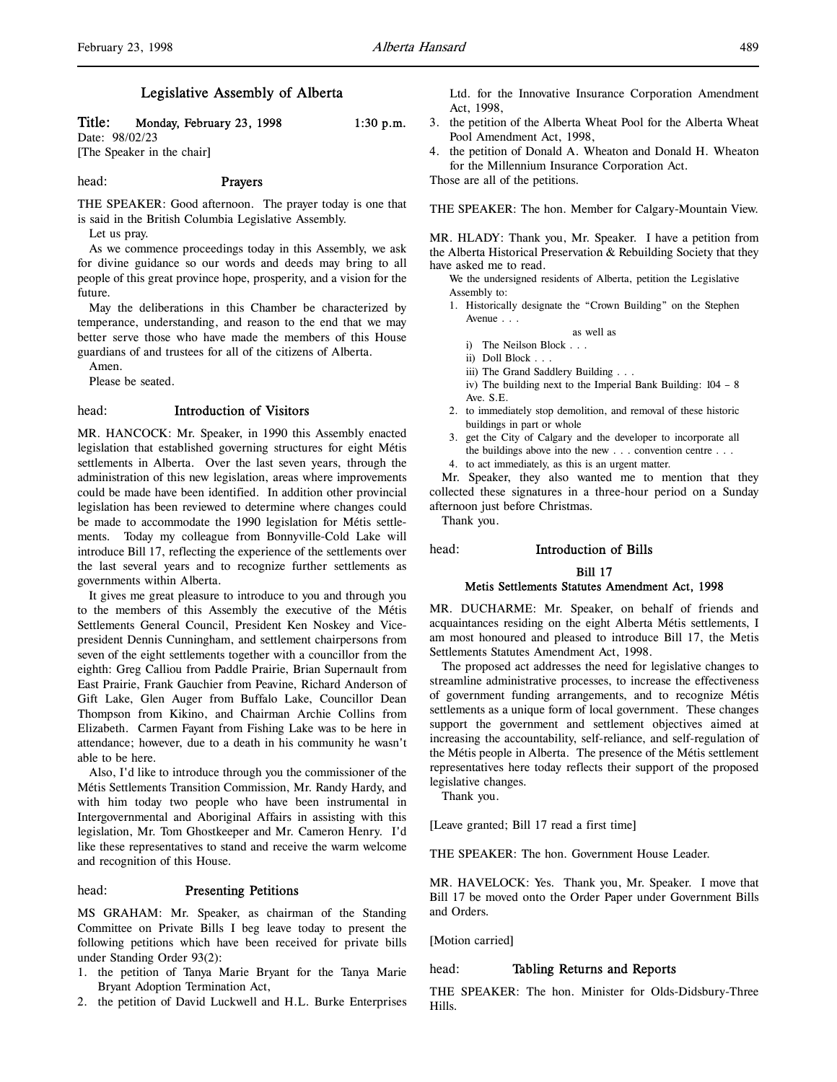# Legislative Assembly of Alberta

# Title: Monday, February 23, 1998 1:30 p.m.

Date: 98/02/23 [The Speaker in the chair]

head: Prayers

THE SPEAKER: Good afternoon. The prayer today is one that is said in the British Columbia Legislative Assembly.

Let us pray.

As we commence proceedings today in this Assembly, we ask for divine guidance so our words and deeds may bring to all people of this great province hope, prosperity, and a vision for the future.

May the deliberations in this Chamber be characterized by temperance, understanding, and reason to the end that we may better serve those who have made the members of this House guardians of and trustees for all of the citizens of Alberta.

Amen.

Please be seated.

#### head: Introduction of Visitors

MR. HANCOCK: Mr. Speaker, in 1990 this Assembly enacted legislation that established governing structures for eight Métis settlements in Alberta. Over the last seven years, through the administration of this new legislation, areas where improvements could be made have been identified. In addition other provincial legislation has been reviewed to determine where changes could be made to accommodate the 1990 legislation for Métis settlements. Today my colleague from Bonnyville-Cold Lake will introduce Bill 17, reflecting the experience of the settlements over the last several years and to recognize further settlements as governments within Alberta.

It gives me great pleasure to introduce to you and through you to the members of this Assembly the executive of the Métis Settlements General Council, President Ken Noskey and Vicepresident Dennis Cunningham, and settlement chairpersons from seven of the eight settlements together with a councillor from the eighth: Greg Calliou from Paddle Prairie, Brian Supernault from East Prairie, Frank Gauchier from Peavine, Richard Anderson of Gift Lake, Glen Auger from Buffalo Lake, Councillor Dean Thompson from Kikino, and Chairman Archie Collins from Elizabeth. Carmen Fayant from Fishing Lake was to be here in attendance; however, due to a death in his community he wasn't able to be here.

Also, I'd like to introduce through you the commissioner of the Métis Settlements Transition Commission, Mr. Randy Hardy, and with him today two people who have been instrumental in Intergovernmental and Aboriginal Affairs in assisting with this legislation, Mr. Tom Ghostkeeper and Mr. Cameron Henry. I'd like these representatives to stand and receive the warm welcome and recognition of this House.

#### head: Presenting Petitions

MS GRAHAM: Mr. Speaker, as chairman of the Standing Committee on Private Bills I beg leave today to present the following petitions which have been received for private bills under Standing Order 93(2):

- 1. the petition of Tanya Marie Bryant for the Tanya Marie Bryant Adoption Termination Act,
- 2. the petition of David Luckwell and H.L. Burke Enterprises

Ltd. for the Innovative Insurance Corporation Amendment Act, 1998,

- 3. the petition of the Alberta Wheat Pool for the Alberta Wheat Pool Amendment Act, 1998,
- 4. the petition of Donald A. Wheaton and Donald H. Wheaton for the Millennium Insurance Corporation Act.

Those are all of the petitions.

THE SPEAKER: The hon. Member for Calgary-Mountain View.

MR. HLADY: Thank you, Mr. Speaker. I have a petition from the Alberta Historical Preservation & Rebuilding Society that they have asked me to read.

We the undersigned residents of Alberta, petition the Legislative Assembly to:

- 1. Historically designate the "Crown Building" on the Stephen Avenue . . .
	- as well as
	- i) The Neilson Block . . .
	- ii) Doll Block . . .
	- iii) The Grand Saddlery Building . . .
	- iv) The building next to the Imperial Bank Building: 104 8 Ave. S.E.
- 2. to immediately stop demolition, and removal of these historic buildings in part or whole
- 3. get the City of Calgary and the developer to incorporate all the buildings above into the new . . . convention centre . . .
- 4. to act immediately, as this is an urgent matter.

Mr. Speaker, they also wanted me to mention that they collected these signatures in a three-hour period on a Sunday afternoon just before Christmas.

Thank you.

# head: Introduction of Bills

#### Bill 17

#### Metis Settlements Statutes Amendment Act, 1998

MR. DUCHARME: Mr. Speaker, on behalf of friends and acquaintances residing on the eight Alberta Métis settlements, I am most honoured and pleased to introduce Bill 17, the Metis Settlements Statutes Amendment Act, 1998.

The proposed act addresses the need for legislative changes to streamline administrative processes, to increase the effectiveness of government funding arrangements, and to recognize Métis settlements as a unique form of local government. These changes support the government and settlement objectives aimed at increasing the accountability, self-reliance, and self-regulation of the Métis people in Alberta. The presence of the Métis settlement representatives here today reflects their support of the proposed legislative changes.

Thank you.

[Leave granted; Bill 17 read a first time]

THE SPEAKER: The hon. Government House Leader.

MR. HAVELOCK: Yes. Thank you, Mr. Speaker. I move that Bill 17 be moved onto the Order Paper under Government Bills and Orders.

[Motion carried]

# head: Tabling Returns and Reports

THE SPEAKER: The hon. Minister for Olds-Didsbury-Three Hills.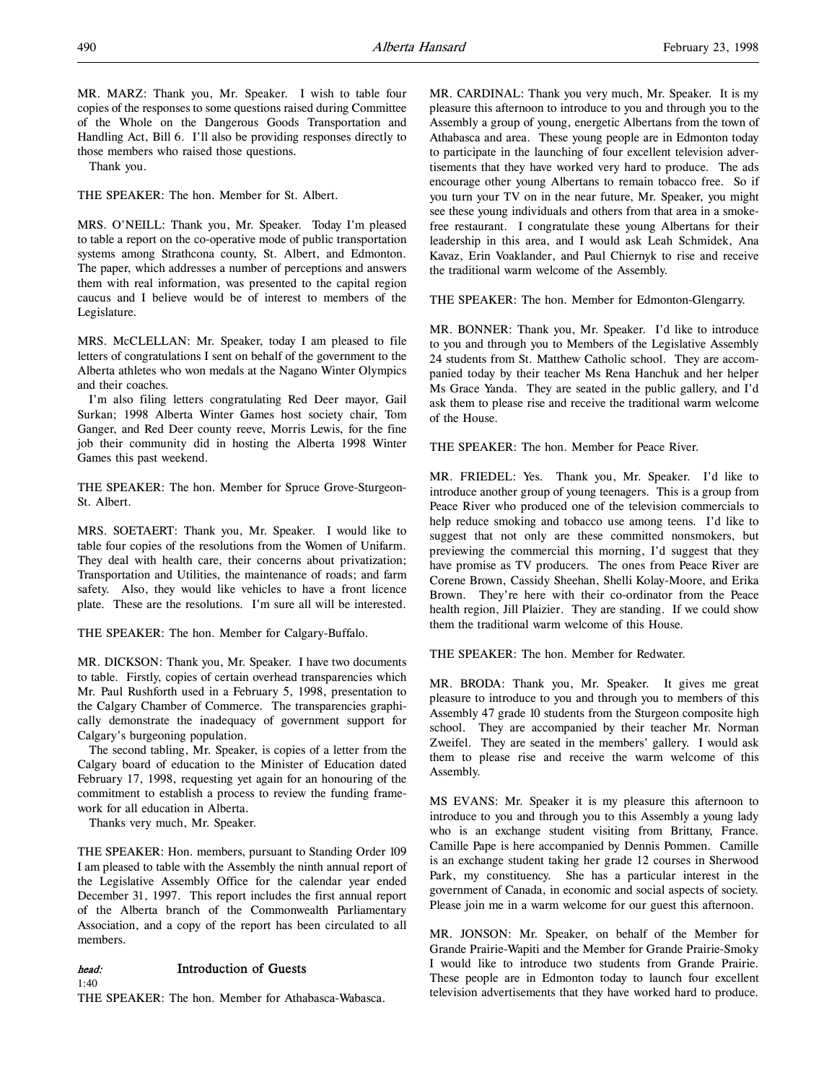MR. MARZ: Thank you, Mr. Speaker. I wish to table four copies of the responses to some questions raised during Committee of the Whole on the Dangerous Goods Transportation and Handling Act, Bill 6. I'll also be providing responses directly to those members who raised those questions.

Thank you.

THE SPEAKER: The hon. Member for St. Albert.

MRS. O'NEILL: Thank you, Mr. Speaker. Today I'm pleased to table a report on the co-operative mode of public transportation systems among Strathcona county, St. Albert, and Edmonton. The paper, which addresses a number of perceptions and answers them with real information, was presented to the capital region caucus and I believe would be of interest to members of the Legislature.

MRS. McCLELLAN: Mr. Speaker, today I am pleased to file letters of congratulations I sent on behalf of the government to the Alberta athletes who won medals at the Nagano Winter Olympics and their coaches.

I'm also filing letters congratulating Red Deer mayor, Gail Surkan; 1998 Alberta Winter Games host society chair, Tom Ganger, and Red Deer county reeve, Morris Lewis, for the fine job their community did in hosting the Alberta 1998 Winter Games this past weekend.

THE SPEAKER: The hon. Member for Spruce Grove-Sturgeon-St. Albert.

MRS. SOETAERT: Thank you, Mr. Speaker. I would like to table four copies of the resolutions from the Women of Unifarm. They deal with health care, their concerns about privatization; Transportation and Utilities, the maintenance of roads; and farm safety. Also, they would like vehicles to have a front licence plate. These are the resolutions. I'm sure all will be interested.

THE SPEAKER: The hon. Member for Calgary-Buffalo.

MR. DICKSON: Thank you, Mr. Speaker. I have two documents to table. Firstly, copies of certain overhead transparencies which Mr. Paul Rushforth used in a February 5, 1998, presentation to the Calgary Chamber of Commerce. The transparencies graphically demonstrate the inadequacy of government support for Calgary's burgeoning population.

The second tabling, Mr. Speaker, is copies of a letter from the Calgary board of education to the Minister of Education dated February 17, 1998, requesting yet again for an honouring of the commitment to establish a process to review the funding framework for all education in Alberta.

Thanks very much, Mr. Speaker.

THE SPEAKER: Hon. members, pursuant to Standing Order 109 I am pleased to table with the Assembly the ninth annual report of the Legislative Assembly Office for the calendar year ended December 31, 1997. This report includes the first annual report of the Alberta branch of the Commonwealth Parliamentary Association, and a copy of the report has been circulated to all members.

# head: Introduction of Guests

1:40

THE SPEAKER: The hon. Member for Athabasca-Wabasca.

MR. CARDINAL: Thank you very much, Mr. Speaker. It is my pleasure this afternoon to introduce to you and through you to the Assembly a group of young, energetic Albertans from the town of Athabasca and area. These young people are in Edmonton today to participate in the launching of four excellent television advertisements that they have worked very hard to produce. The ads encourage other young Albertans to remain tobacco free. So if you turn your TV on in the near future, Mr. Speaker, you might see these young individuals and others from that area in a smokefree restaurant. I congratulate these young Albertans for their leadership in this area, and I would ask Leah Schmidek, Ana Kavaz, Erin Voaklander, and Paul Chiernyk to rise and receive the traditional warm welcome of the Assembly.

THE SPEAKER: The hon. Member for Edmonton-Glengarry.

MR. BONNER: Thank you, Mr. Speaker. I'd like to introduce to you and through you to Members of the Legislative Assembly 24 students from St. Matthew Catholic school. They are accompanied today by their teacher Ms Rena Hanchuk and her helper Ms Grace Yanda. They are seated in the public gallery, and I'd ask them to please rise and receive the traditional warm welcome of the House.

THE SPEAKER: The hon. Member for Peace River.

MR. FRIEDEL: Yes. Thank you, Mr. Speaker. I'd like to introduce another group of young teenagers. This is a group from Peace River who produced one of the television commercials to help reduce smoking and tobacco use among teens. I'd like to suggest that not only are these committed nonsmokers, but previewing the commercial this morning, I'd suggest that they have promise as TV producers. The ones from Peace River are Corene Brown, Cassidy Sheehan, Shelli Kolay-Moore, and Erika Brown. They're here with their co-ordinator from the Peace health region, Jill Plaizier. They are standing. If we could show them the traditional warm welcome of this House.

THE SPEAKER: The hon. Member for Redwater.

MR. BRODA: Thank you, Mr. Speaker. It gives me great pleasure to introduce to you and through you to members of this Assembly 47 grade 10 students from the Sturgeon composite high school. They are accompanied by their teacher Mr. Norman Zweifel. They are seated in the members' gallery. I would ask them to please rise and receive the warm welcome of this Assembly.

MS EVANS: Mr. Speaker it is my pleasure this afternoon to introduce to you and through you to this Assembly a young lady who is an exchange student visiting from Brittany, France. Camille Pape is here accompanied by Dennis Pommen. Camille is an exchange student taking her grade 12 courses in Sherwood Park, my constituency. She has a particular interest in the government of Canada, in economic and social aspects of society. Please join me in a warm welcome for our guest this afternoon.

MR. JONSON: Mr. Speaker, on behalf of the Member for Grande Prairie-Wapiti and the Member for Grande Prairie-Smoky I would like to introduce two students from Grande Prairie. These people are in Edmonton today to launch four excellent television advertisements that they have worked hard to produce.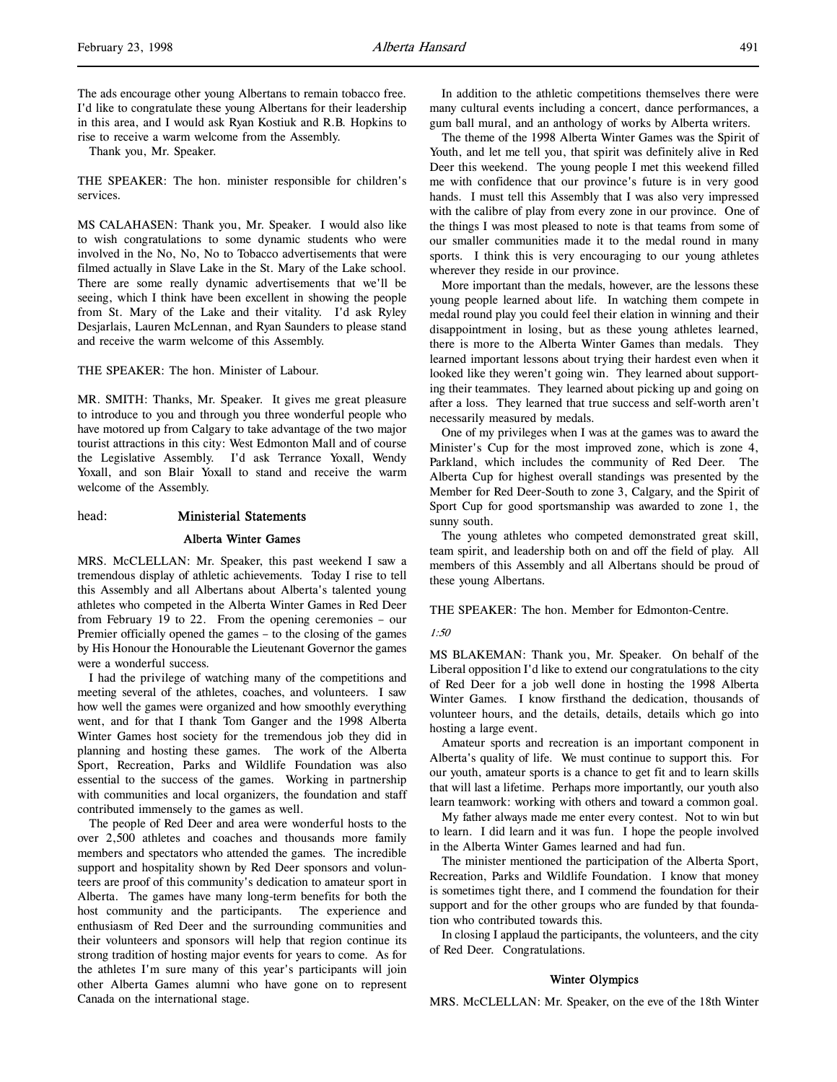Thank you, Mr. Speaker.

THE SPEAKER: The hon. minister responsible for children's services.

MS CALAHASEN: Thank you, Mr. Speaker. I would also like to wish congratulations to some dynamic students who were involved in the No, No, No to Tobacco advertisements that were filmed actually in Slave Lake in the St. Mary of the Lake school. There are some really dynamic advertisements that we'll be seeing, which I think have been excellent in showing the people from St. Mary of the Lake and their vitality. I'd ask Ryley Desjarlais, Lauren McLennan, and Ryan Saunders to please stand and receive the warm welcome of this Assembly.

THE SPEAKER: The hon. Minister of Labour.

MR. SMITH: Thanks, Mr. Speaker. It gives me great pleasure to introduce to you and through you three wonderful people who have motored up from Calgary to take advantage of the two major tourist attractions in this city: West Edmonton Mall and of course the Legislative Assembly. I'd ask Terrance Yoxall, Wendy Yoxall, and son Blair Yoxall to stand and receive the warm welcome of the Assembly.

# head: Ministerial Statements

#### Alberta Winter Games

MRS. McCLELLAN: Mr. Speaker, this past weekend I saw a tremendous display of athletic achievements. Today I rise to tell this Assembly and all Albertans about Alberta's talented young athletes who competed in the Alberta Winter Games in Red Deer from February 19 to 22. From the opening ceremonies – our Premier officially opened the games – to the closing of the games by His Honour the Honourable the Lieutenant Governor the games were a wonderful success.

I had the privilege of watching many of the competitions and meeting several of the athletes, coaches, and volunteers. I saw how well the games were organized and how smoothly everything went, and for that I thank Tom Ganger and the 1998 Alberta Winter Games host society for the tremendous job they did in planning and hosting these games. The work of the Alberta Sport, Recreation, Parks and Wildlife Foundation was also essential to the success of the games. Working in partnership with communities and local organizers, the foundation and staff contributed immensely to the games as well.

The people of Red Deer and area were wonderful hosts to the over 2,500 athletes and coaches and thousands more family members and spectators who attended the games. The incredible support and hospitality shown by Red Deer sponsors and volunteers are proof of this community's dedication to amateur sport in Alberta. The games have many long-term benefits for both the host community and the participants. The experience and enthusiasm of Red Deer and the surrounding communities and their volunteers and sponsors will help that region continue its strong tradition of hosting major events for years to come. As for the athletes I'm sure many of this year's participants will join other Alberta Games alumni who have gone on to represent Canada on the international stage.

In addition to the athletic competitions themselves there were many cultural events including a concert, dance performances, a gum ball mural, and an anthology of works by Alberta writers.

The theme of the 1998 Alberta Winter Games was the Spirit of Youth, and let me tell you, that spirit was definitely alive in Red Deer this weekend. The young people I met this weekend filled me with confidence that our province's future is in very good hands. I must tell this Assembly that I was also very impressed with the calibre of play from every zone in our province. One of the things I was most pleased to note is that teams from some of our smaller communities made it to the medal round in many sports. I think this is very encouraging to our young athletes wherever they reside in our province.

More important than the medals, however, are the lessons these young people learned about life. In watching them compete in medal round play you could feel their elation in winning and their disappointment in losing, but as these young athletes learned, there is more to the Alberta Winter Games than medals. They learned important lessons about trying their hardest even when it looked like they weren't going win. They learned about supporting their teammates. They learned about picking up and going on after a loss. They learned that true success and self-worth aren't necessarily measured by medals.

One of my privileges when I was at the games was to award the Minister's Cup for the most improved zone, which is zone 4, Parkland, which includes the community of Red Deer. The Alberta Cup for highest overall standings was presented by the Member for Red Deer-South to zone 3, Calgary, and the Spirit of Sport Cup for good sportsmanship was awarded to zone 1, the sunny south.

The young athletes who competed demonstrated great skill, team spirit, and leadership both on and off the field of play. All members of this Assembly and all Albertans should be proud of these young Albertans.

THE SPEAKER: The hon. Member for Edmonton-Centre.

#### 1:50

MS BLAKEMAN: Thank you, Mr. Speaker. On behalf of the Liberal opposition I'd like to extend our congratulations to the city of Red Deer for a job well done in hosting the 1998 Alberta Winter Games. I know firsthand the dedication, thousands of volunteer hours, and the details, details, details which go into hosting a large event.

Amateur sports and recreation is an important component in Alberta's quality of life. We must continue to support this. For our youth, amateur sports is a chance to get fit and to learn skills that will last a lifetime. Perhaps more importantly, our youth also learn teamwork: working with others and toward a common goal.

My father always made me enter every contest. Not to win but to learn. I did learn and it was fun. I hope the people involved in the Alberta Winter Games learned and had fun.

The minister mentioned the participation of the Alberta Sport, Recreation, Parks and Wildlife Foundation. I know that money is sometimes tight there, and I commend the foundation for their support and for the other groups who are funded by that foundation who contributed towards this.

In closing I applaud the participants, the volunteers, and the city of Red Deer. Congratulations.

#### Winter Olympics

MRS. McCLELLAN: Mr. Speaker, on the eve of the 18th Winter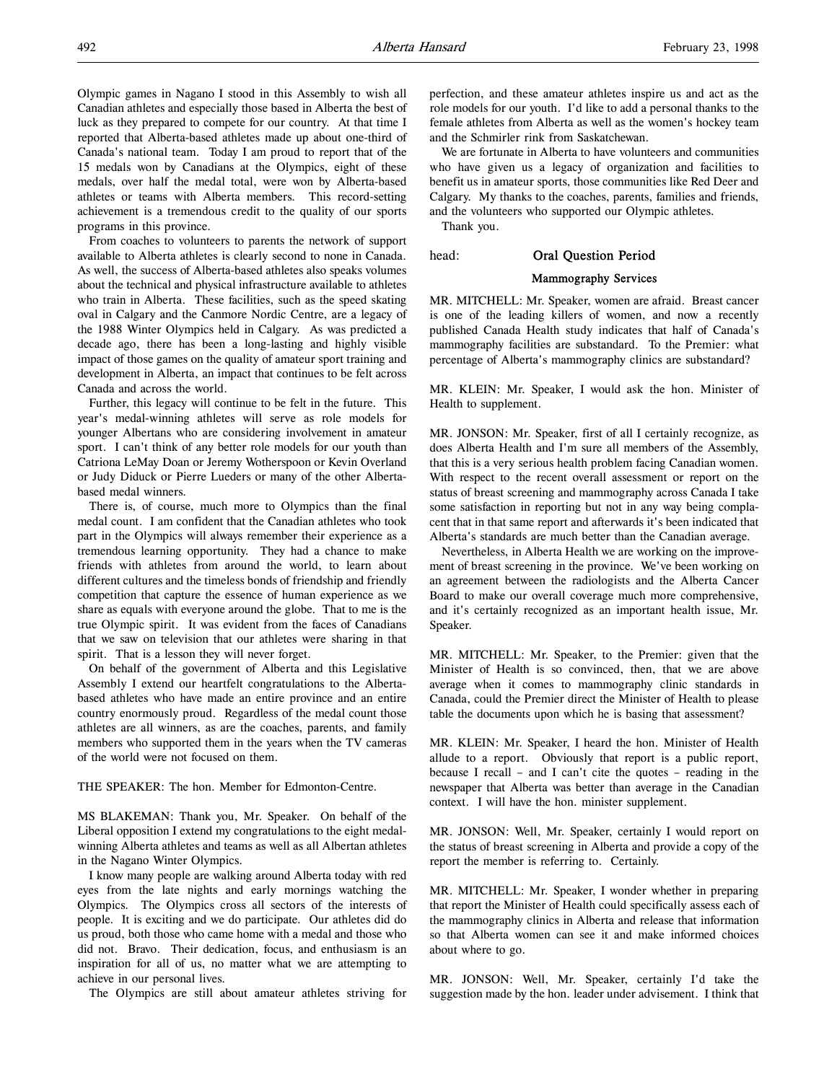Olympic games in Nagano I stood in this Assembly to wish all Canadian athletes and especially those based in Alberta the best of luck as they prepared to compete for our country. At that time I reported that Alberta-based athletes made up about one-third of Canada's national team. Today I am proud to report that of the 15 medals won by Canadians at the Olympics, eight of these medals, over half the medal total, were won by Alberta-based athletes or teams with Alberta members. This record-setting achievement is a tremendous credit to the quality of our sports programs in this province.

From coaches to volunteers to parents the network of support available to Alberta athletes is clearly second to none in Canada. As well, the success of Alberta-based athletes also speaks volumes about the technical and physical infrastructure available to athletes who train in Alberta. These facilities, such as the speed skating oval in Calgary and the Canmore Nordic Centre, are a legacy of the 1988 Winter Olympics held in Calgary. As was predicted a decade ago, there has been a long-lasting and highly visible impact of those games on the quality of amateur sport training and development in Alberta, an impact that continues to be felt across Canada and across the world.

Further, this legacy will continue to be felt in the future. This year's medal-winning athletes will serve as role models for younger Albertans who are considering involvement in amateur sport. I can't think of any better role models for our youth than Catriona LeMay Doan or Jeremy Wotherspoon or Kevin Overland or Judy Diduck or Pierre Lueders or many of the other Albertabased medal winners.

There is, of course, much more to Olympics than the final medal count. I am confident that the Canadian athletes who took part in the Olympics will always remember their experience as a tremendous learning opportunity. They had a chance to make friends with athletes from around the world, to learn about different cultures and the timeless bonds of friendship and friendly competition that capture the essence of human experience as we share as equals with everyone around the globe. That to me is the true Olympic spirit. It was evident from the faces of Canadians that we saw on television that our athletes were sharing in that spirit. That is a lesson they will never forget.

On behalf of the government of Alberta and this Legislative Assembly I extend our heartfelt congratulations to the Albertabased athletes who have made an entire province and an entire country enormously proud. Regardless of the medal count those athletes are all winners, as are the coaches, parents, and family members who supported them in the years when the TV cameras of the world were not focused on them.

THE SPEAKER: The hon. Member for Edmonton-Centre.

MS BLAKEMAN: Thank you, Mr. Speaker. On behalf of the Liberal opposition I extend my congratulations to the eight medalwinning Alberta athletes and teams as well as all Albertan athletes in the Nagano Winter Olympics.

I know many people are walking around Alberta today with red eyes from the late nights and early mornings watching the Olympics. The Olympics cross all sectors of the interests of people. It is exciting and we do participate. Our athletes did do us proud, both those who came home with a medal and those who did not. Bravo. Their dedication, focus, and enthusiasm is an inspiration for all of us, no matter what we are attempting to achieve in our personal lives.

The Olympics are still about amateur athletes striving for

perfection, and these amateur athletes inspire us and act as the role models for our youth. I'd like to add a personal thanks to the female athletes from Alberta as well as the women's hockey team and the Schmirler rink from Saskatchewan.

We are fortunate in Alberta to have volunteers and communities who have given us a legacy of organization and facilities to benefit us in amateur sports, those communities like Red Deer and Calgary. My thanks to the coaches, parents, families and friends, and the volunteers who supported our Olympic athletes.

Thank you.

head: Oral Question Period

# Mammography Services

MR. MITCHELL: Mr. Speaker, women are afraid. Breast cancer is one of the leading killers of women, and now a recently published Canada Health study indicates that half of Canada's mammography facilities are substandard. To the Premier: what percentage of Alberta's mammography clinics are substandard?

MR. KLEIN: Mr. Speaker, I would ask the hon. Minister of Health to supplement.

MR. JONSON: Mr. Speaker, first of all I certainly recognize, as does Alberta Health and I'm sure all members of the Assembly, that this is a very serious health problem facing Canadian women. With respect to the recent overall assessment or report on the status of breast screening and mammography across Canada I take some satisfaction in reporting but not in any way being complacent that in that same report and afterwards it's been indicated that Alberta's standards are much better than the Canadian average.

Nevertheless, in Alberta Health we are working on the improvement of breast screening in the province. We've been working on an agreement between the radiologists and the Alberta Cancer Board to make our overall coverage much more comprehensive, and it's certainly recognized as an important health issue, Mr. Speaker.

MR. MITCHELL: Mr. Speaker, to the Premier: given that the Minister of Health is so convinced, then, that we are above average when it comes to mammography clinic standards in Canada, could the Premier direct the Minister of Health to please table the documents upon which he is basing that assessment?

MR. KLEIN: Mr. Speaker, I heard the hon. Minister of Health allude to a report. Obviously that report is a public report, because I recall – and I can't cite the quotes – reading in the newspaper that Alberta was better than average in the Canadian context. I will have the hon. minister supplement.

MR. JONSON: Well, Mr. Speaker, certainly I would report on the status of breast screening in Alberta and provide a copy of the report the member is referring to. Certainly.

MR. MITCHELL: Mr. Speaker, I wonder whether in preparing that report the Minister of Health could specifically assess each of the mammography clinics in Alberta and release that information so that Alberta women can see it and make informed choices about where to go.

MR. JONSON: Well, Mr. Speaker, certainly I'd take the suggestion made by the hon. leader under advisement. I think that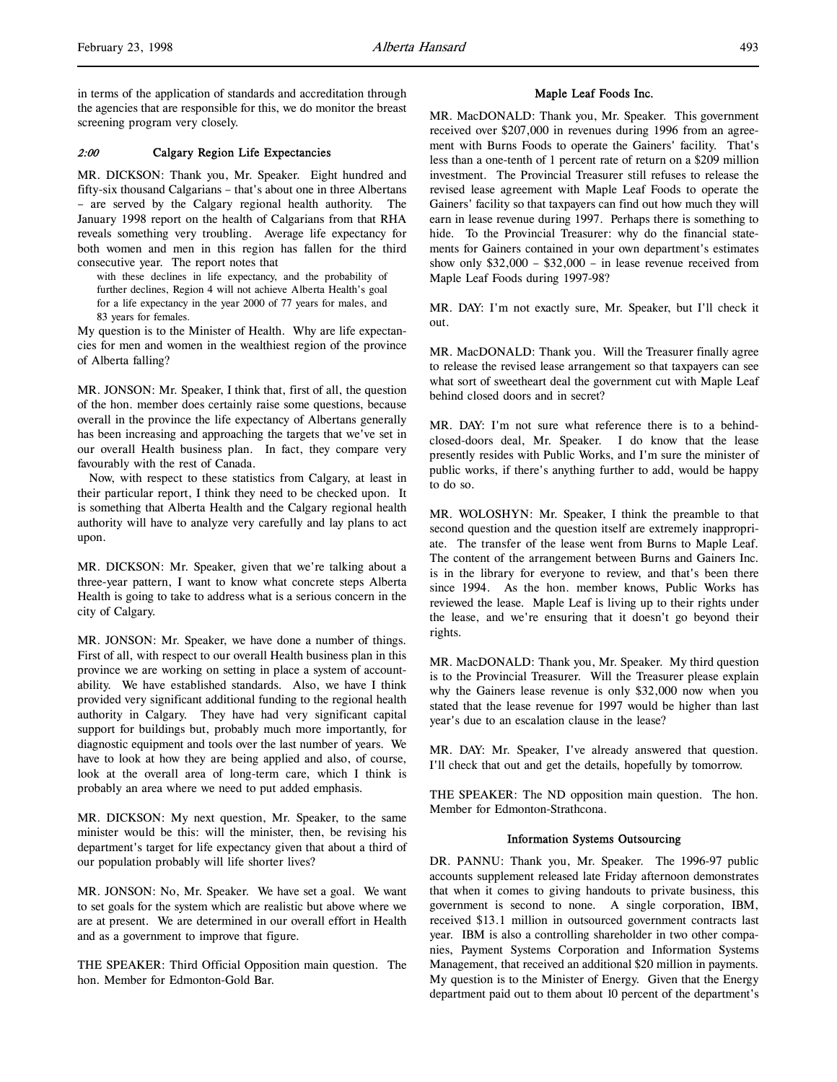# 2:00 Calgary Region Life Expectancies

MR. DICKSON: Thank you, Mr. Speaker. Eight hundred and fifty-six thousand Calgarians – that's about one in three Albertans – are served by the Calgary regional health authority. The January 1998 report on the health of Calgarians from that RHA reveals something very troubling. Average life expectancy for both women and men in this region has fallen for the third consecutive year. The report notes that

with these declines in life expectancy, and the probability of further declines, Region 4 will not achieve Alberta Health's goal for a life expectancy in the year 2000 of 77 years for males, and 83 years for females.

My question is to the Minister of Health. Why are life expectancies for men and women in the wealthiest region of the province of Alberta falling?

MR. JONSON: Mr. Speaker, I think that, first of all, the question of the hon. member does certainly raise some questions, because overall in the province the life expectancy of Albertans generally has been increasing and approaching the targets that we've set in our overall Health business plan. In fact, they compare very favourably with the rest of Canada.

Now, with respect to these statistics from Calgary, at least in their particular report, I think they need to be checked upon. It is something that Alberta Health and the Calgary regional health authority will have to analyze very carefully and lay plans to act upon.

MR. DICKSON: Mr. Speaker, given that we're talking about a three-year pattern, I want to know what concrete steps Alberta Health is going to take to address what is a serious concern in the city of Calgary.

MR. JONSON: Mr. Speaker, we have done a number of things. First of all, with respect to our overall Health business plan in this province we are working on setting in place a system of accountability. We have established standards. Also, we have I think provided very significant additional funding to the regional health authority in Calgary. They have had very significant capital support for buildings but, probably much more importantly, for diagnostic equipment and tools over the last number of years. We have to look at how they are being applied and also, of course, look at the overall area of long-term care, which I think is probably an area where we need to put added emphasis.

MR. DICKSON: My next question, Mr. Speaker, to the same minister would be this: will the minister, then, be revising his department's target for life expectancy given that about a third of our population probably will life shorter lives?

MR. JONSON: No, Mr. Speaker. We have set a goal. We want to set goals for the system which are realistic but above where we are at present. We are determined in our overall effort in Health and as a government to improve that figure.

THE SPEAKER: Third Official Opposition main question. The hon. Member for Edmonton-Gold Bar.

# Maple Leaf Foods Inc.

MR. MacDONALD: Thank you, Mr. Speaker. This government received over \$207,000 in revenues during 1996 from an agreement with Burns Foods to operate the Gainers' facility. That's less than a one-tenth of 1 percent rate of return on a \$209 million investment. The Provincial Treasurer still refuses to release the revised lease agreement with Maple Leaf Foods to operate the Gainers' facility so that taxpayers can find out how much they will earn in lease revenue during 1997. Perhaps there is something to hide. To the Provincial Treasurer: why do the financial statements for Gainers contained in your own department's estimates show only \$32,000 – \$32,000 – in lease revenue received from Maple Leaf Foods during 1997-98?

MR. DAY: I'm not exactly sure, Mr. Speaker, but I'll check it out.

MR. MacDONALD: Thank you. Will the Treasurer finally agree to release the revised lease arrangement so that taxpayers can see what sort of sweetheart deal the government cut with Maple Leaf behind closed doors and in secret?

MR. DAY: I'm not sure what reference there is to a behindclosed-doors deal, Mr. Speaker. I do know that the lease presently resides with Public Works, and I'm sure the minister of public works, if there's anything further to add, would be happy to do so.

MR. WOLOSHYN: Mr. Speaker, I think the preamble to that second question and the question itself are extremely inappropriate. The transfer of the lease went from Burns to Maple Leaf. The content of the arrangement between Burns and Gainers Inc. is in the library for everyone to review, and that's been there since 1994. As the hon. member knows, Public Works has reviewed the lease. Maple Leaf is living up to their rights under the lease, and we're ensuring that it doesn't go beyond their rights.

MR. MacDONALD: Thank you, Mr. Speaker. My third question is to the Provincial Treasurer. Will the Treasurer please explain why the Gainers lease revenue is only \$32,000 now when you stated that the lease revenue for 1997 would be higher than last year's due to an escalation clause in the lease?

MR. DAY: Mr. Speaker, I've already answered that question. I'll check that out and get the details, hopefully by tomorrow.

THE SPEAKER: The ND opposition main question. The hon. Member for Edmonton-Strathcona.

#### Information Systems Outsourcing

DR. PANNU: Thank you, Mr. Speaker. The 1996-97 public accounts supplement released late Friday afternoon demonstrates that when it comes to giving handouts to private business, this government is second to none. A single corporation, IBM, received \$13.1 million in outsourced government contracts last year. IBM is also a controlling shareholder in two other companies, Payment Systems Corporation and Information Systems Management, that received an additional \$20 million in payments. My question is to the Minister of Energy. Given that the Energy department paid out to them about 10 percent of the department's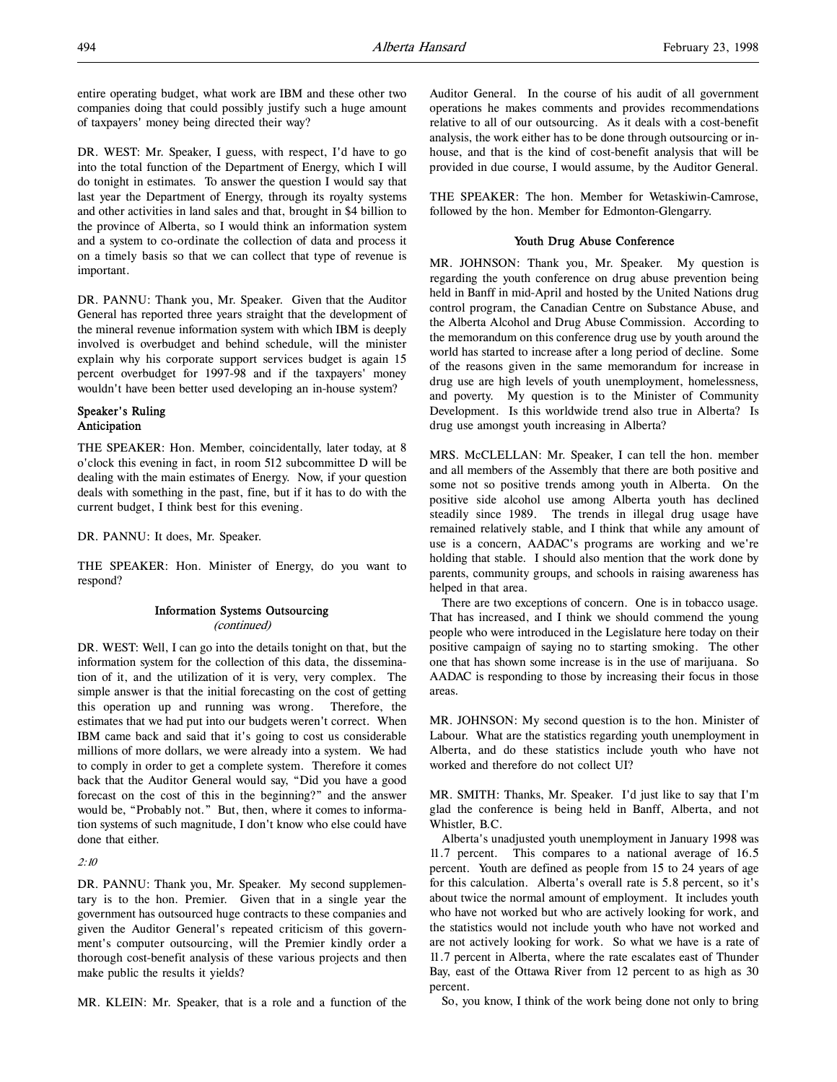entire operating budget, what work are IBM and these other two companies doing that could possibly justify such a huge amount of taxpayers' money being directed their way?

DR. WEST: Mr. Speaker, I guess, with respect, I'd have to go into the total function of the Department of Energy, which I will do tonight in estimates. To answer the question I would say that last year the Department of Energy, through its royalty systems and other activities in land sales and that, brought in \$4 billion to the province of Alberta, so I would think an information system and a system to co-ordinate the collection of data and process it on a timely basis so that we can collect that type of revenue is important.

DR. PANNU: Thank you, Mr. Speaker. Given that the Auditor General has reported three years straight that the development of the mineral revenue information system with which IBM is deeply involved is overbudget and behind schedule, will the minister explain why his corporate support services budget is again 15 percent overbudget for 1997-98 and if the taxpayers' money wouldn't have been better used developing an in-house system?

# Speaker's Ruling Anticipation

THE SPEAKER: Hon. Member, coincidentally, later today, at 8 o'clock this evening in fact, in room 512 subcommittee D will be dealing with the main estimates of Energy. Now, if your question deals with something in the past, fine, but if it has to do with the current budget, I think best for this evening.

DR. PANNU: It does, Mr. Speaker.

THE SPEAKER: Hon. Minister of Energy, do you want to respond?

# Information Systems Outsourcing (continued)

DR. WEST: Well, I can go into the details tonight on that, but the information system for the collection of this data, the dissemination of it, and the utilization of it is very, very complex. The simple answer is that the initial forecasting on the cost of getting this operation up and running was wrong. Therefore, the estimates that we had put into our budgets weren't correct. When IBM came back and said that it's going to cost us considerable millions of more dollars, we were already into a system. We had to comply in order to get a complete system. Therefore it comes back that the Auditor General would say, "Did you have a good forecast on the cost of this in the beginning?" and the answer would be, "Probably not." But, then, where it comes to information systems of such magnitude, I don't know who else could have done that either.

2:10

DR. PANNU: Thank you, Mr. Speaker. My second supplementary is to the hon. Premier. Given that in a single year the government has outsourced huge contracts to these companies and given the Auditor General's repeated criticism of this government's computer outsourcing, will the Premier kindly order a thorough cost-benefit analysis of these various projects and then make public the results it yields?

MR. KLEIN: Mr. Speaker, that is a role and a function of the

Auditor General. In the course of his audit of all government operations he makes comments and provides recommendations relative to all of our outsourcing. As it deals with a cost-benefit analysis, the work either has to be done through outsourcing or inhouse, and that is the kind of cost-benefit analysis that will be provided in due course, I would assume, by the Auditor General.

THE SPEAKER: The hon. Member for Wetaskiwin-Camrose, followed by the hon. Member for Edmonton-Glengarry.

# Youth Drug Abuse Conference

MR. JOHNSON: Thank you, Mr. Speaker. My question is regarding the youth conference on drug abuse prevention being held in Banff in mid-April and hosted by the United Nations drug control program, the Canadian Centre on Substance Abuse, and the Alberta Alcohol and Drug Abuse Commission. According to the memorandum on this conference drug use by youth around the world has started to increase after a long period of decline. Some of the reasons given in the same memorandum for increase in drug use are high levels of youth unemployment, homelessness, and poverty. My question is to the Minister of Community Development. Is this worldwide trend also true in Alberta? Is drug use amongst youth increasing in Alberta?

MRS. McCLELLAN: Mr. Speaker, I can tell the hon. member and all members of the Assembly that there are both positive and some not so positive trends among youth in Alberta. On the positive side alcohol use among Alberta youth has declined steadily since 1989. The trends in illegal drug usage have remained relatively stable, and I think that while any amount of use is a concern, AADAC's programs are working and we're holding that stable. I should also mention that the work done by parents, community groups, and schools in raising awareness has helped in that area.

There are two exceptions of concern. One is in tobacco usage. That has increased, and I think we should commend the young people who were introduced in the Legislature here today on their positive campaign of saying no to starting smoking. The other one that has shown some increase is in the use of marijuana. So AADAC is responding to those by increasing their focus in those areas.

MR. JOHNSON: My second question is to the hon. Minister of Labour. What are the statistics regarding youth unemployment in Alberta, and do these statistics include youth who have not worked and therefore do not collect UI?

MR. SMITH: Thanks, Mr. Speaker. I'd just like to say that I'm glad the conference is being held in Banff, Alberta, and not Whistler, B.C.

Alberta's unadjusted youth unemployment in January 1998 was 11.7 percent. This compares to a national average of 16.5 percent. Youth are defined as people from 15 to 24 years of age for this calculation. Alberta's overall rate is 5.8 percent, so it's about twice the normal amount of employment. It includes youth who have not worked but who are actively looking for work, and the statistics would not include youth who have not worked and are not actively looking for work. So what we have is a rate of 11.7 percent in Alberta, where the rate escalates east of Thunder Bay, east of the Ottawa River from 12 percent to as high as 30 percent.

So, you know, I think of the work being done not only to bring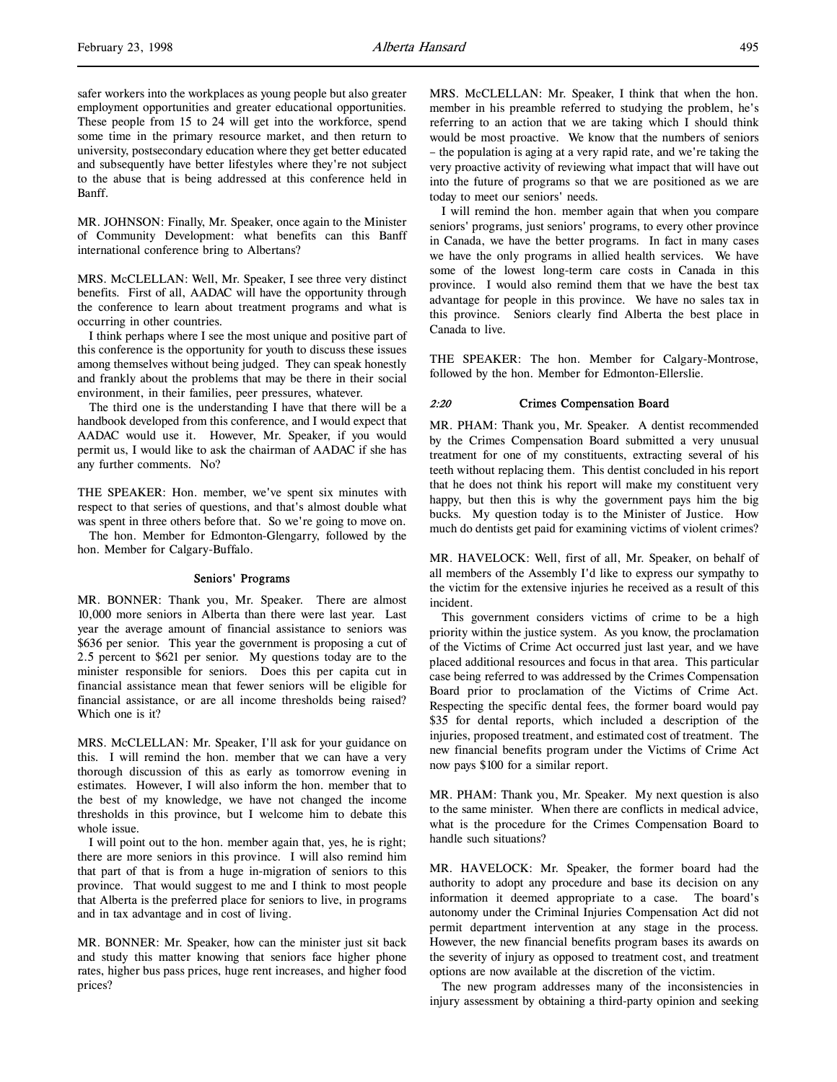safer workers into the workplaces as young people but also greater employment opportunities and greater educational opportunities. These people from 15 to 24 will get into the workforce, spend some time in the primary resource market, and then return to university, postsecondary education where they get better educated and subsequently have better lifestyles where they're not subject to the abuse that is being addressed at this conference held in Banff.

MR. JOHNSON: Finally, Mr. Speaker, once again to the Minister of Community Development: what benefits can this Banff international conference bring to Albertans?

MRS. McCLELLAN: Well, Mr. Speaker, I see three very distinct benefits. First of all, AADAC will have the opportunity through the conference to learn about treatment programs and what is occurring in other countries.

I think perhaps where I see the most unique and positive part of this conference is the opportunity for youth to discuss these issues among themselves without being judged. They can speak honestly and frankly about the problems that may be there in their social environment, in their families, peer pressures, whatever.

The third one is the understanding I have that there will be a handbook developed from this conference, and I would expect that AADAC would use it. However, Mr. Speaker, if you would permit us, I would like to ask the chairman of AADAC if she has any further comments. No?

THE SPEAKER: Hon. member, we've spent six minutes with respect to that series of questions, and that's almost double what was spent in three others before that. So we're going to move on.

The hon. Member for Edmonton-Glengarry, followed by the hon. Member for Calgary-Buffalo.

#### Seniors' Programs

MR. BONNER: Thank you, Mr. Speaker. There are almost 10,000 more seniors in Alberta than there were last year. Last year the average amount of financial assistance to seniors was \$636 per senior. This year the government is proposing a cut of 2.5 percent to \$621 per senior. My questions today are to the minister responsible for seniors. Does this per capita cut in financial assistance mean that fewer seniors will be eligible for financial assistance, or are all income thresholds being raised? Which one is it?

MRS. McCLELLAN: Mr. Speaker, I'll ask for your guidance on this. I will remind the hon. member that we can have a very thorough discussion of this as early as tomorrow evening in estimates. However, I will also inform the hon. member that to the best of my knowledge, we have not changed the income thresholds in this province, but I welcome him to debate this whole issue.

I will point out to the hon. member again that, yes, he is right; there are more seniors in this province. I will also remind him that part of that is from a huge in-migration of seniors to this province. That would suggest to me and I think to most people that Alberta is the preferred place for seniors to live, in programs and in tax advantage and in cost of living.

MR. BONNER: Mr. Speaker, how can the minister just sit back and study this matter knowing that seniors face higher phone rates, higher bus pass prices, huge rent increases, and higher food prices?

MRS. McCLELLAN: Mr. Speaker, I think that when the hon. member in his preamble referred to studying the problem, he's referring to an action that we are taking which I should think would be most proactive. We know that the numbers of seniors – the population is aging at a very rapid rate, and we're taking the very proactive activity of reviewing what impact that will have out into the future of programs so that we are positioned as we are today to meet our seniors' needs.

I will remind the hon. member again that when you compare seniors' programs, just seniors' programs, to every other province in Canada, we have the better programs. In fact in many cases we have the only programs in allied health services. We have some of the lowest long-term care costs in Canada in this province. I would also remind them that we have the best tax advantage for people in this province. We have no sales tax in this province. Seniors clearly find Alberta the best place in Canada to live.

THE SPEAKER: The hon. Member for Calgary-Montrose, followed by the hon. Member for Edmonton-Ellerslie.

# 2:20 Crimes Compensation Board

MR. PHAM: Thank you, Mr. Speaker. A dentist recommended by the Crimes Compensation Board submitted a very unusual treatment for one of my constituents, extracting several of his teeth without replacing them. This dentist concluded in his report that he does not think his report will make my constituent very happy, but then this is why the government pays him the big bucks. My question today is to the Minister of Justice. How much do dentists get paid for examining victims of violent crimes?

MR. HAVELOCK: Well, first of all, Mr. Speaker, on behalf of all members of the Assembly I'd like to express our sympathy to the victim for the extensive injuries he received as a result of this incident.

This government considers victims of crime to be a high priority within the justice system. As you know, the proclamation of the Victims of Crime Act occurred just last year, and we have placed additional resources and focus in that area. This particular case being referred to was addressed by the Crimes Compensation Board prior to proclamation of the Victims of Crime Act. Respecting the specific dental fees, the former board would pay \$35 for dental reports, which included a description of the injuries, proposed treatment, and estimated cost of treatment. The new financial benefits program under the Victims of Crime Act now pays \$100 for a similar report.

MR. PHAM: Thank you, Mr. Speaker. My next question is also to the same minister. When there are conflicts in medical advice, what is the procedure for the Crimes Compensation Board to handle such situations?

MR. HAVELOCK: Mr. Speaker, the former board had the authority to adopt any procedure and base its decision on any information it deemed appropriate to a case. The board's autonomy under the Criminal Injuries Compensation Act did not permit department intervention at any stage in the process. However, the new financial benefits program bases its awards on the severity of injury as opposed to treatment cost, and treatment options are now available at the discretion of the victim.

The new program addresses many of the inconsistencies in injury assessment by obtaining a third-party opinion and seeking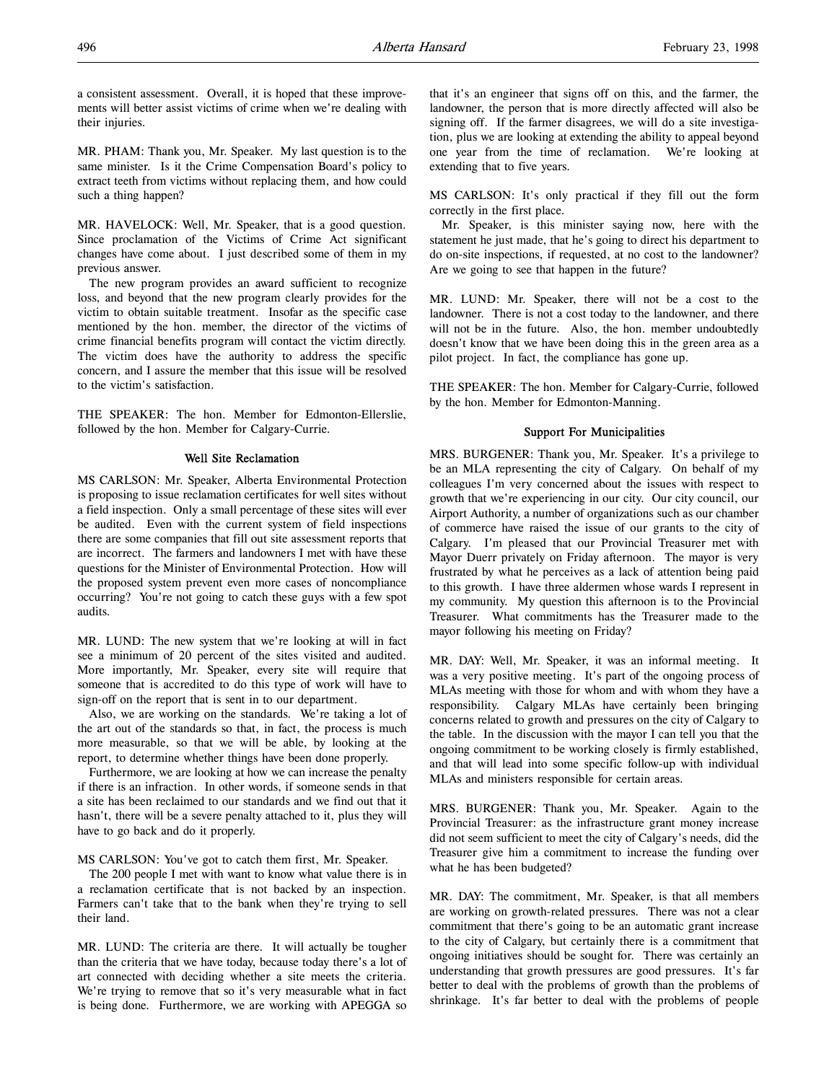a consistent assessment. Overall, it is hoped that these improvements will better assist victims of crime when we're dealing with their injuries.

MR. PHAM: Thank you, Mr. Speaker. My last question is to the same minister. Is it the Crime Compensation Board's policy to extract teeth from victims without replacing them, and how could such a thing happen?

MR. HAVELOCK: Well, Mr. Speaker, that is a good question. Since proclamation of the Victims of Crime Act significant changes have come about. I just described some of them in my previous answer.

The new program provides an award sufficient to recognize loss, and beyond that the new program clearly provides for the victim to obtain suitable treatment. Insofar as the specific case mentioned by the hon. member, the director of the victims of crime financial benefits program will contact the victim directly. The victim does have the authority to address the specific concern, and I assure the member that this issue will be resolved to the victim's satisfaction.

THE SPEAKER: The hon. Member for Edmonton-Ellerslie, followed by the hon. Member for Calgary-Currie.

# Well Site Reclamation

MS CARLSON: Mr. Speaker, Alberta Environmental Protection is proposing to issue reclamation certificates for well sites without a field inspection. Only a small percentage of these sites will ever be audited. Even with the current system of field inspections there are some companies that fill out site assessment reports that are incorrect. The farmers and landowners I met with have these questions for the Minister of Environmental Protection. How will the proposed system prevent even more cases of noncompliance occurring? You're not going to catch these guys with a few spot audits.

MR. LUND: The new system that we're looking at will in fact see a minimum of 20 percent of the sites visited and audited. More importantly, Mr. Speaker, every site will require that someone that is accredited to do this type of work will have to sign-off on the report that is sent in to our department.

Also, we are working on the standards. We're taking a lot of the art out of the standards so that, in fact, the process is much more measurable, so that we will be able, by looking at the report, to determine whether things have been done properly.

Furthermore, we are looking at how we can increase the penalty if there is an infraction. In other words, if someone sends in that a site has been reclaimed to our standards and we find out that it hasn't, there will be a severe penalty attached to it, plus they will have to go back and do it properly.

MS CARLSON: You've got to catch them first, Mr. Speaker.

The 200 people I met with want to know what value there is in a reclamation certificate that is not backed by an inspection. Farmers can't take that to the bank when they're trying to sell their land.

MR. LUND: The criteria are there. It will actually be tougher than the criteria that we have today, because today there's a lot of art connected with deciding whether a site meets the criteria. We're trying to remove that so it's very measurable what in fact is being done. Furthermore, we are working with APEGGA so

that it's an engineer that signs off on this, and the farmer, the landowner, the person that is more directly affected will also be signing off. If the farmer disagrees, we will do a site investigation, plus we are looking at extending the ability to appeal beyond one year from the time of reclamation. We're looking at extending that to five years.

MS CARLSON: It's only practical if they fill out the form correctly in the first place.

Mr. Speaker, is this minister saying now, here with the statement he just made, that he's going to direct his department to do on-site inspections, if requested, at no cost to the landowner? Are we going to see that happen in the future?

MR. LUND: Mr. Speaker, there will not be a cost to the landowner. There is not a cost today to the landowner, and there will not be in the future. Also, the hon. member undoubtedly doesn't know that we have been doing this in the green area as a pilot project. In fact, the compliance has gone up.

THE SPEAKER: The hon. Member for Calgary-Currie, followed by the hon. Member for Edmonton-Manning.

# Support For Municipalities

MRS. BURGENER: Thank you, Mr. Speaker. It's a privilege to be an MLA representing the city of Calgary. On behalf of my colleagues I'm very concerned about the issues with respect to growth that we're experiencing in our city. Our city council, our Airport Authority, a number of organizations such as our chamber of commerce have raised the issue of our grants to the city of Calgary. I'm pleased that our Provincial Treasurer met with Mayor Duerr privately on Friday afternoon. The mayor is very frustrated by what he perceives as a lack of attention being paid to this growth. I have three aldermen whose wards I represent in my community. My question this afternoon is to the Provincial Treasurer. What commitments has the Treasurer made to the mayor following his meeting on Friday?

MR. DAY: Well, Mr. Speaker, it was an informal meeting. It was a very positive meeting. It's part of the ongoing process of MLAs meeting with those for whom and with whom they have a responsibility. Calgary MLAs have certainly been bringing concerns related to growth and pressures on the city of Calgary to the table. In the discussion with the mayor I can tell you that the ongoing commitment to be working closely is firmly established, and that will lead into some specific follow-up with individual MLAs and ministers responsible for certain areas.

MRS. BURGENER: Thank you, Mr. Speaker. Again to the Provincial Treasurer: as the infrastructure grant money increase did not seem sufficient to meet the city of Calgary's needs, did the Treasurer give him a commitment to increase the funding over what he has been budgeted?

MR. DAY: The commitment, Mr. Speaker, is that all members are working on growth-related pressures. There was not a clear commitment that there's going to be an automatic grant increase to the city of Calgary, but certainly there is a commitment that ongoing initiatives should be sought for. There was certainly an understanding that growth pressures are good pressures. It's far better to deal with the problems of growth than the problems of shrinkage. It's far better to deal with the problems of people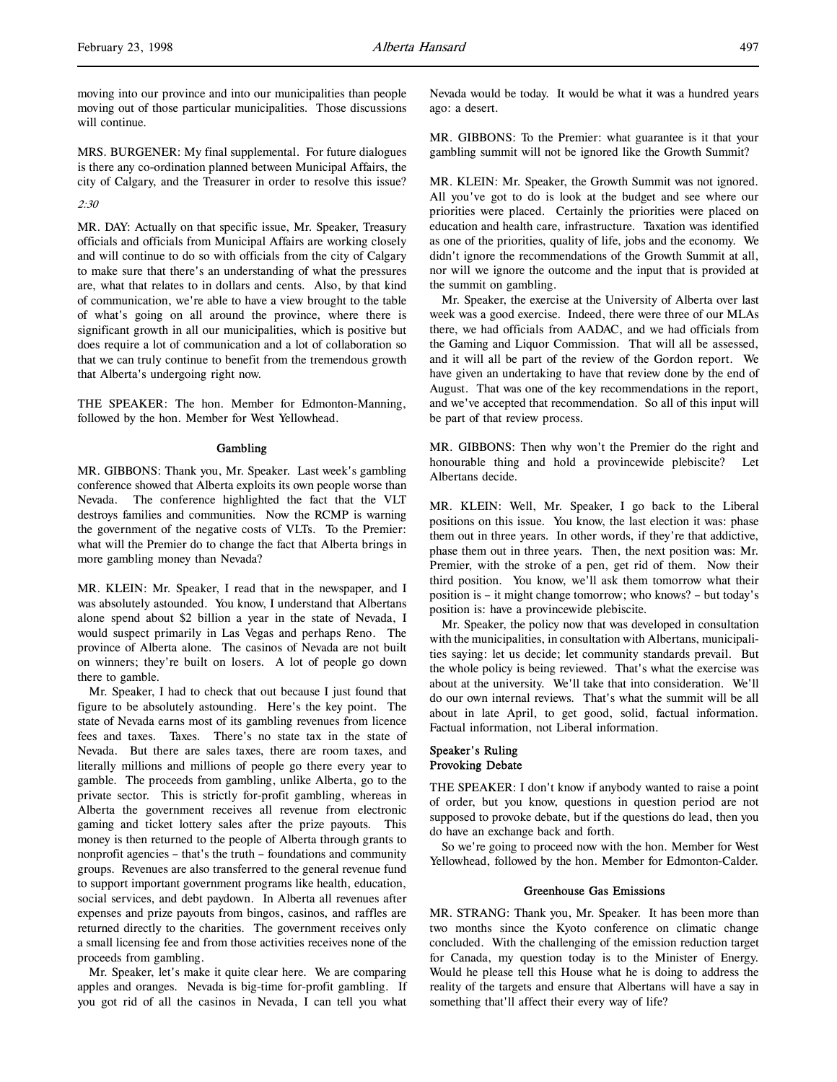moving into our province and into our municipalities than people moving out of those particular municipalities. Those discussions will continue.

MRS. BURGENER: My final supplemental. For future dialogues is there any co-ordination planned between Municipal Affairs, the city of Calgary, and the Treasurer in order to resolve this issue?

#### 2:30

MR. DAY: Actually on that specific issue, Mr. Speaker, Treasury officials and officials from Municipal Affairs are working closely and will continue to do so with officials from the city of Calgary to make sure that there's an understanding of what the pressures are, what that relates to in dollars and cents. Also, by that kind of communication, we're able to have a view brought to the table of what's going on all around the province, where there is significant growth in all our municipalities, which is positive but does require a lot of communication and a lot of collaboration so that we can truly continue to benefit from the tremendous growth that Alberta's undergoing right now.

THE SPEAKER: The hon. Member for Edmonton-Manning, followed by the hon. Member for West Yellowhead.

#### Gambling

MR. GIBBONS: Thank you, Mr. Speaker. Last week's gambling conference showed that Alberta exploits its own people worse than Nevada. The conference highlighted the fact that the VLT destroys families and communities. Now the RCMP is warning the government of the negative costs of VLTs. To the Premier: what will the Premier do to change the fact that Alberta brings in more gambling money than Nevada?

MR. KLEIN: Mr. Speaker, I read that in the newspaper, and I was absolutely astounded. You know, I understand that Albertans alone spend about \$2 billion a year in the state of Nevada, I would suspect primarily in Las Vegas and perhaps Reno. The province of Alberta alone. The casinos of Nevada are not built on winners; they're built on losers. A lot of people go down there to gamble.

Mr. Speaker, I had to check that out because I just found that figure to be absolutely astounding. Here's the key point. The state of Nevada earns most of its gambling revenues from licence fees and taxes. Taxes. There's no state tax in the state of Nevada. But there are sales taxes, there are room taxes, and literally millions and millions of people go there every year to gamble. The proceeds from gambling, unlike Alberta, go to the private sector. This is strictly for-profit gambling, whereas in Alberta the government receives all revenue from electronic gaming and ticket lottery sales after the prize payouts. This money is then returned to the people of Alberta through grants to nonprofit agencies – that's the truth – foundations and community groups. Revenues are also transferred to the general revenue fund to support important government programs like health, education, social services, and debt paydown. In Alberta all revenues after expenses and prize payouts from bingos, casinos, and raffles are returned directly to the charities. The government receives only a small licensing fee and from those activities receives none of the proceeds from gambling.

Mr. Speaker, let's make it quite clear here. We are comparing apples and oranges. Nevada is big-time for-profit gambling. If you got rid of all the casinos in Nevada, I can tell you what

Nevada would be today. It would be what it was a hundred years ago: a desert.

MR. GIBBONS: To the Premier: what guarantee is it that your gambling summit will not be ignored like the Growth Summit?

MR. KLEIN: Mr. Speaker, the Growth Summit was not ignored. All you've got to do is look at the budget and see where our priorities were placed. Certainly the priorities were placed on education and health care, infrastructure. Taxation was identified as one of the priorities, quality of life, jobs and the economy. We didn't ignore the recommendations of the Growth Summit at all, nor will we ignore the outcome and the input that is provided at the summit on gambling.

Mr. Speaker, the exercise at the University of Alberta over last week was a good exercise. Indeed, there were three of our MLAs there, we had officials from AADAC, and we had officials from the Gaming and Liquor Commission. That will all be assessed, and it will all be part of the review of the Gordon report. We have given an undertaking to have that review done by the end of August. That was one of the key recommendations in the report, and we've accepted that recommendation. So all of this input will be part of that review process.

MR. GIBBONS: Then why won't the Premier do the right and honourable thing and hold a provincewide plebiscite? Let Albertans decide.

MR. KLEIN: Well, Mr. Speaker, I go back to the Liberal positions on this issue. You know, the last election it was: phase them out in three years. In other words, if they're that addictive, phase them out in three years. Then, the next position was: Mr. Premier, with the stroke of a pen, get rid of them. Now their third position. You know, we'll ask them tomorrow what their position is – it might change tomorrow; who knows? – but today's position is: have a provincewide plebiscite.

Mr. Speaker, the policy now that was developed in consultation with the municipalities, in consultation with Albertans, municipalities saying: let us decide; let community standards prevail. But the whole policy is being reviewed. That's what the exercise was about at the university. We'll take that into consideration. We'll do our own internal reviews. That's what the summit will be all about in late April, to get good, solid, factual information. Factual information, not Liberal information.

# Speaker's Ruling Provoking Debate

THE SPEAKER: I don't know if anybody wanted to raise a point of order, but you know, questions in question period are not supposed to provoke debate, but if the questions do lead, then you do have an exchange back and forth.

So we're going to proceed now with the hon. Member for West Yellowhead, followed by the hon. Member for Edmonton-Calder.

#### Greenhouse Gas Emissions

MR. STRANG: Thank you, Mr. Speaker. It has been more than two months since the Kyoto conference on climatic change concluded. With the challenging of the emission reduction target for Canada, my question today is to the Minister of Energy. Would he please tell this House what he is doing to address the reality of the targets and ensure that Albertans will have a say in something that'll affect their every way of life?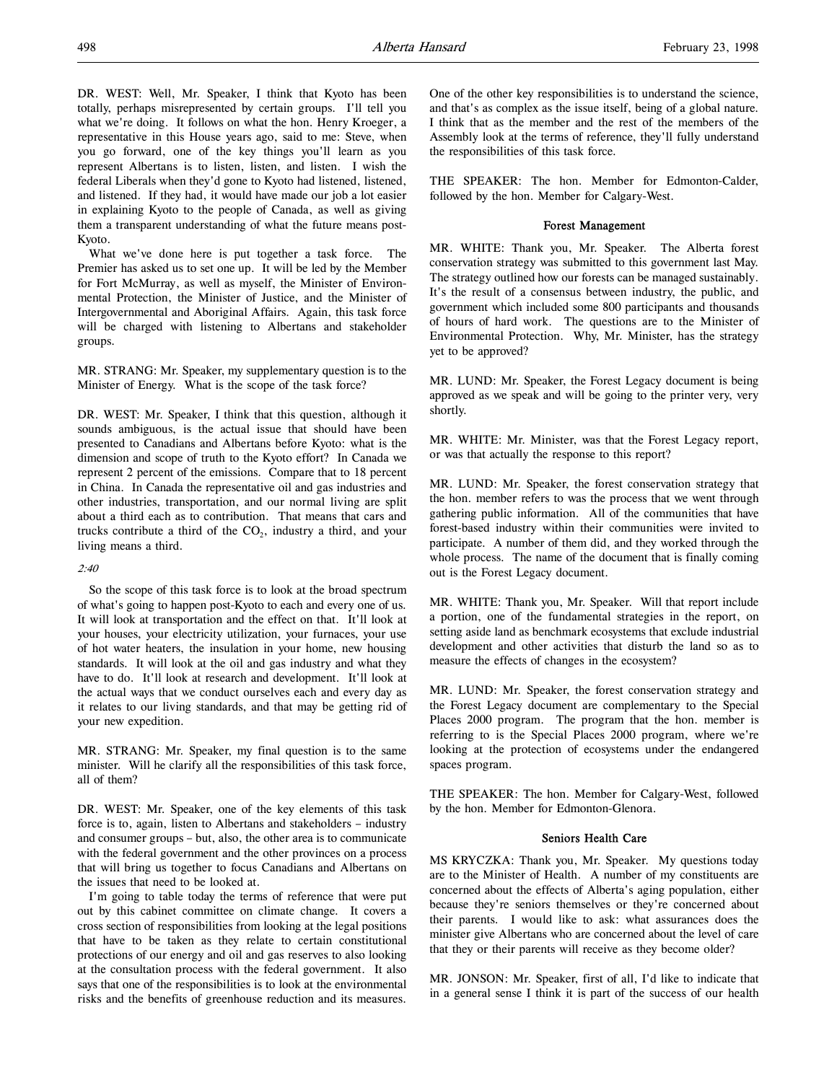DR. WEST: Well, Mr. Speaker, I think that Kyoto has been totally, perhaps misrepresented by certain groups. I'll tell you what we're doing. It follows on what the hon. Henry Kroeger, a representative in this House years ago, said to me: Steve, when you go forward, one of the key things you'll learn as you represent Albertans is to listen, listen, and listen. I wish the federal Liberals when they'd gone to Kyoto had listened, listened, and listened. If they had, it would have made our job a lot easier in explaining Kyoto to the people of Canada, as well as giving them a transparent understanding of what the future means post-Kyoto.

What we've done here is put together a task force. The Premier has asked us to set one up. It will be led by the Member for Fort McMurray, as well as myself, the Minister of Environmental Protection, the Minister of Justice, and the Minister of Intergovernmental and Aboriginal Affairs. Again, this task force will be charged with listening to Albertans and stakeholder groups.

MR. STRANG: Mr. Speaker, my supplementary question is to the Minister of Energy. What is the scope of the task force?

DR. WEST: Mr. Speaker, I think that this question, although it sounds ambiguous, is the actual issue that should have been presented to Canadians and Albertans before Kyoto: what is the dimension and scope of truth to the Kyoto effort? In Canada we represent 2 percent of the emissions. Compare that to 18 percent in China. In Canada the representative oil and gas industries and other industries, transportation, and our normal living are split about a third each as to contribution. That means that cars and trucks contribute a third of the  $CO<sub>2</sub>$ , industry a third, and your living means a third.

#### $2.40$

So the scope of this task force is to look at the broad spectrum of what's going to happen post-Kyoto to each and every one of us. It will look at transportation and the effect on that. It'll look at your houses, your electricity utilization, your furnaces, your use of hot water heaters, the insulation in your home, new housing standards. It will look at the oil and gas industry and what they have to do. It'll look at research and development. It'll look at the actual ways that we conduct ourselves each and every day as it relates to our living standards, and that may be getting rid of your new expedition.

MR. STRANG: Mr. Speaker, my final question is to the same minister. Will he clarify all the responsibilities of this task force, all of them?

DR. WEST: Mr. Speaker, one of the key elements of this task force is to, again, listen to Albertans and stakeholders – industry and consumer groups – but, also, the other area is to communicate with the federal government and the other provinces on a process that will bring us together to focus Canadians and Albertans on the issues that need to be looked at.

I'm going to table today the terms of reference that were put out by this cabinet committee on climate change. It covers a cross section of responsibilities from looking at the legal positions that have to be taken as they relate to certain constitutional protections of our energy and oil and gas reserves to also looking at the consultation process with the federal government. It also says that one of the responsibilities is to look at the environmental risks and the benefits of greenhouse reduction and its measures.

One of the other key responsibilities is to understand the science, and that's as complex as the issue itself, being of a global nature. I think that as the member and the rest of the members of the Assembly look at the terms of reference, they'll fully understand the responsibilities of this task force.

THE SPEAKER: The hon. Member for Edmonton-Calder, followed by the hon. Member for Calgary-West.

# Forest Management

MR. WHITE: Thank you, Mr. Speaker. The Alberta forest conservation strategy was submitted to this government last May. The strategy outlined how our forests can be managed sustainably. It's the result of a consensus between industry, the public, and government which included some 800 participants and thousands of hours of hard work. The questions are to the Minister of Environmental Protection. Why, Mr. Minister, has the strategy yet to be approved?

MR. LUND: Mr. Speaker, the Forest Legacy document is being approved as we speak and will be going to the printer very, very shortly.

MR. WHITE: Mr. Minister, was that the Forest Legacy report, or was that actually the response to this report?

MR. LUND: Mr. Speaker, the forest conservation strategy that the hon. member refers to was the process that we went through gathering public information. All of the communities that have forest-based industry within their communities were invited to participate. A number of them did, and they worked through the whole process. The name of the document that is finally coming out is the Forest Legacy document.

MR. WHITE: Thank you, Mr. Speaker. Will that report include a portion, one of the fundamental strategies in the report, on setting aside land as benchmark ecosystems that exclude industrial development and other activities that disturb the land so as to measure the effects of changes in the ecosystem?

MR. LUND: Mr. Speaker, the forest conservation strategy and the Forest Legacy document are complementary to the Special Places 2000 program. The program that the hon. member is referring to is the Special Places 2000 program, where we're looking at the protection of ecosystems under the endangered spaces program.

THE SPEAKER: The hon. Member for Calgary-West, followed by the hon. Member for Edmonton-Glenora.

## Seniors Health Care

MS KRYCZKA: Thank you, Mr. Speaker. My questions today are to the Minister of Health. A number of my constituents are concerned about the effects of Alberta's aging population, either because they're seniors themselves or they're concerned about their parents. I would like to ask: what assurances does the minister give Albertans who are concerned about the level of care that they or their parents will receive as they become older?

MR. JONSON: Mr. Speaker, first of all, I'd like to indicate that in a general sense I think it is part of the success of our health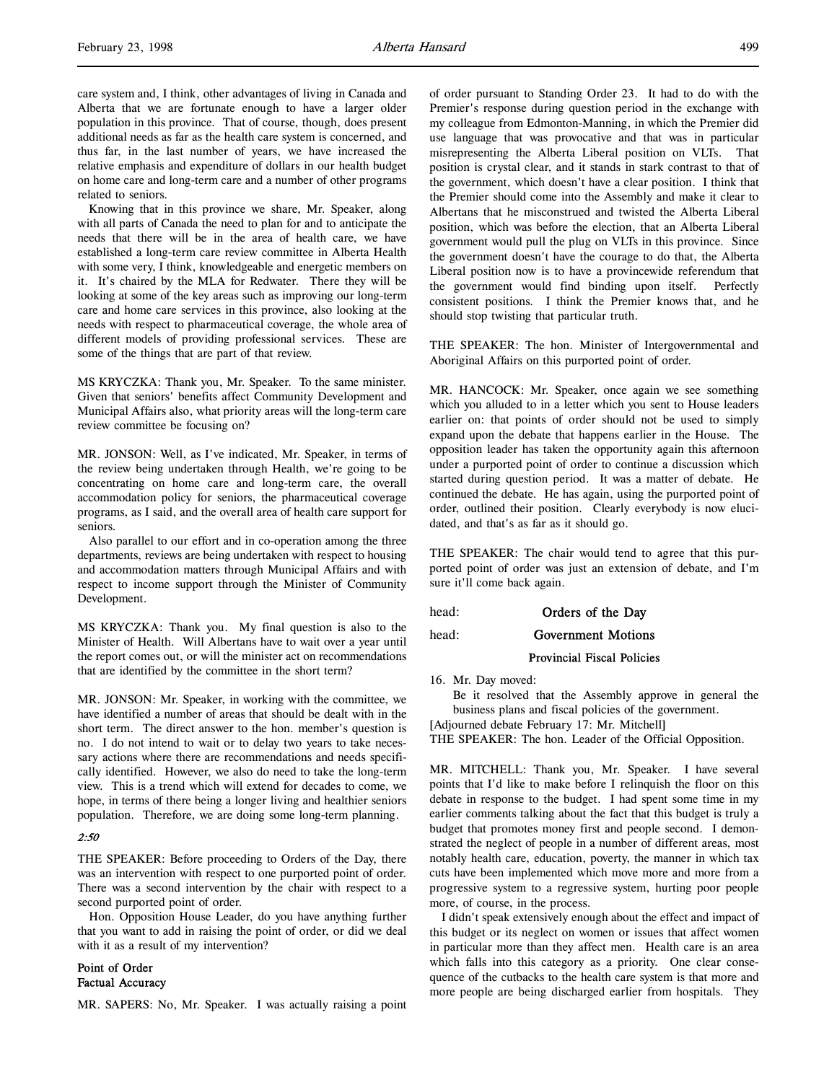care system and, I think, other advantages of living in Canada and Alberta that we are fortunate enough to have a larger older population in this province. That of course, though, does present additional needs as far as the health care system is concerned, and thus far, in the last number of years, we have increased the relative emphasis and expenditure of dollars in our health budget on home care and long-term care and a number of other programs related to seniors.

Knowing that in this province we share, Mr. Speaker, along with all parts of Canada the need to plan for and to anticipate the needs that there will be in the area of health care, we have established a long-term care review committee in Alberta Health with some very, I think, knowledgeable and energetic members on it. It's chaired by the MLA for Redwater. There they will be looking at some of the key areas such as improving our long-term care and home care services in this province, also looking at the needs with respect to pharmaceutical coverage, the whole area of different models of providing professional services. These are some of the things that are part of that review.

MS KRYCZKA: Thank you, Mr. Speaker. To the same minister. Given that seniors' benefits affect Community Development and Municipal Affairs also, what priority areas will the long-term care review committee be focusing on?

MR. JONSON: Well, as I've indicated, Mr. Speaker, in terms of the review being undertaken through Health, we're going to be concentrating on home care and long-term care, the overall accommodation policy for seniors, the pharmaceutical coverage programs, as I said, and the overall area of health care support for seniors.

Also parallel to our effort and in co-operation among the three departments, reviews are being undertaken with respect to housing and accommodation matters through Municipal Affairs and with respect to income support through the Minister of Community Development.

MS KRYCZKA: Thank you. My final question is also to the Minister of Health. Will Albertans have to wait over a year until the report comes out, or will the minister act on recommendations that are identified by the committee in the short term?

MR. JONSON: Mr. Speaker, in working with the committee, we have identified a number of areas that should be dealt with in the short term. The direct answer to the hon. member's question is no. I do not intend to wait or to delay two years to take necessary actions where there are recommendations and needs specifically identified. However, we also do need to take the long-term view. This is a trend which will extend for decades to come, we hope, in terms of there being a longer living and healthier seniors population. Therefore, we are doing some long-term planning.

#### 2:50

THE SPEAKER: Before proceeding to Orders of the Day, there was an intervention with respect to one purported point of order. There was a second intervention by the chair with respect to a second purported point of order.

Hon. Opposition House Leader, do you have anything further that you want to add in raising the point of order, or did we deal with it as a result of my intervention?

# Point of Order Factual Accuracy

MR. SAPERS: No, Mr. Speaker. I was actually raising a point

of order pursuant to Standing Order 23. It had to do with the Premier's response during question period in the exchange with my colleague from Edmonton-Manning, in which the Premier did use language that was provocative and that was in particular misrepresenting the Alberta Liberal position on VLTs. That position is crystal clear, and it stands in stark contrast to that of the government, which doesn't have a clear position. I think that the Premier should come into the Assembly and make it clear to Albertans that he misconstrued and twisted the Alberta Liberal position, which was before the election, that an Alberta Liberal government would pull the plug on VLTs in this province. Since the government doesn't have the courage to do that, the Alberta Liberal position now is to have a provincewide referendum that the government would find binding upon itself. Perfectly consistent positions. I think the Premier knows that, and he should stop twisting that particular truth.

THE SPEAKER: The hon. Minister of Intergovernmental and Aboriginal Affairs on this purported point of order.

MR. HANCOCK: Mr. Speaker, once again we see something which you alluded to in a letter which you sent to House leaders earlier on: that points of order should not be used to simply expand upon the debate that happens earlier in the House. The opposition leader has taken the opportunity again this afternoon under a purported point of order to continue a discussion which started during question period. It was a matter of debate. He continued the debate. He has again, using the purported point of order, outlined their position. Clearly everybody is now elucidated, and that's as far as it should go.

THE SPEAKER: The chair would tend to agree that this purported point of order was just an extension of debate, and I'm sure it'll come back again.

head: **Orders of the Day** 

head: **Government Motions** 

### Provincial Fiscal Policies

16. Mr. Day moved:

Be it resolved that the Assembly approve in general the business plans and fiscal policies of the government.

[Adjourned debate February 17: Mr. Mitchell]

THE SPEAKER: The hon. Leader of the Official Opposition.

MR. MITCHELL: Thank you, Mr. Speaker. I have several points that I'd like to make before I relinquish the floor on this debate in response to the budget. I had spent some time in my earlier comments talking about the fact that this budget is truly a budget that promotes money first and people second. I demonstrated the neglect of people in a number of different areas, most notably health care, education, poverty, the manner in which tax cuts have been implemented which move more and more from a progressive system to a regressive system, hurting poor people more, of course, in the process.

I didn't speak extensively enough about the effect and impact of this budget or its neglect on women or issues that affect women in particular more than they affect men. Health care is an area which falls into this category as a priority. One clear consequence of the cutbacks to the health care system is that more and more people are being discharged earlier from hospitals. They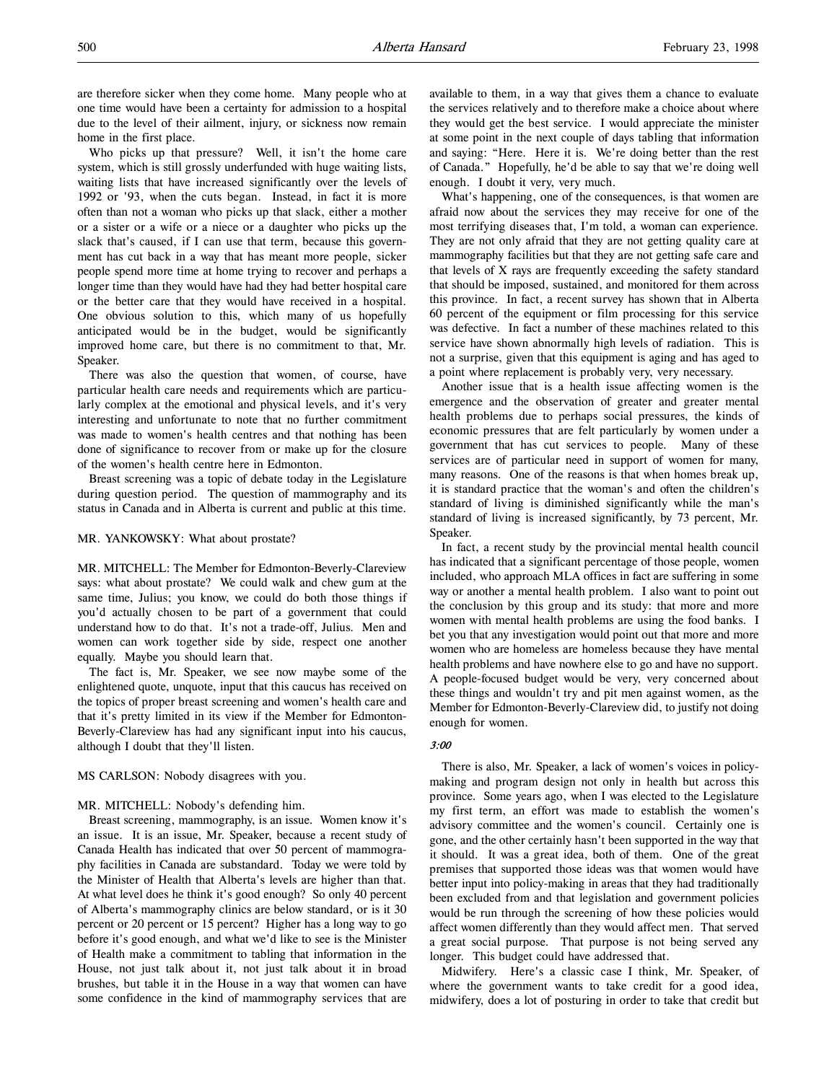are therefore sicker when they come home. Many people who at one time would have been a certainty for admission to a hospital due to the level of their ailment, injury, or sickness now remain home in the first place.

Who picks up that pressure? Well, it isn't the home care system, which is still grossly underfunded with huge waiting lists, waiting lists that have increased significantly over the levels of 1992 or '93, when the cuts began. Instead, in fact it is more often than not a woman who picks up that slack, either a mother or a sister or a wife or a niece or a daughter who picks up the slack that's caused, if I can use that term, because this government has cut back in a way that has meant more people, sicker people spend more time at home trying to recover and perhaps a longer time than they would have had they had better hospital care or the better care that they would have received in a hospital. One obvious solution to this, which many of us hopefully anticipated would be in the budget, would be significantly improved home care, but there is no commitment to that, Mr. Speaker.

There was also the question that women, of course, have particular health care needs and requirements which are particularly complex at the emotional and physical levels, and it's very interesting and unfortunate to note that no further commitment was made to women's health centres and that nothing has been done of significance to recover from or make up for the closure of the women's health centre here in Edmonton.

Breast screening was a topic of debate today in the Legislature during question period. The question of mammography and its status in Canada and in Alberta is current and public at this time.

#### MR. YANKOWSKY: What about prostate?

MR. MITCHELL: The Member for Edmonton-Beverly-Clareview says: what about prostate? We could walk and chew gum at the same time, Julius; you know, we could do both those things if you'd actually chosen to be part of a government that could understand how to do that. It's not a trade-off, Julius. Men and women can work together side by side, respect one another equally. Maybe you should learn that.

The fact is, Mr. Speaker, we see now maybe some of the enlightened quote, unquote, input that this caucus has received on the topics of proper breast screening and women's health care and that it's pretty limited in its view if the Member for Edmonton-Beverly-Clareview has had any significant input into his caucus, although I doubt that they'll listen.

#### MS CARLSON: Nobody disagrees with you.

#### MR. MITCHELL: Nobody's defending him.

Breast screening, mammography, is an issue. Women know it's an issue. It is an issue, Mr. Speaker, because a recent study of Canada Health has indicated that over 50 percent of mammography facilities in Canada are substandard. Today we were told by the Minister of Health that Alberta's levels are higher than that. At what level does he think it's good enough? So only 40 percent of Alberta's mammography clinics are below standard, or is it 30 percent or 20 percent or 15 percent? Higher has a long way to go before it's good enough, and what we'd like to see is the Minister of Health make a commitment to tabling that information in the House, not just talk about it, not just talk about it in broad brushes, but table it in the House in a way that women can have some confidence in the kind of mammography services that are

available to them, in a way that gives them a chance to evaluate the services relatively and to therefore make a choice about where they would get the best service. I would appreciate the minister at some point in the next couple of days tabling that information and saying: "Here. Here it is. We're doing better than the rest of Canada." Hopefully, he'd be able to say that we're doing well enough. I doubt it very, very much.

What's happening, one of the consequences, is that women are afraid now about the services they may receive for one of the most terrifying diseases that, I'm told, a woman can experience. They are not only afraid that they are not getting quality care at mammography facilities but that they are not getting safe care and that levels of X rays are frequently exceeding the safety standard that should be imposed, sustained, and monitored for them across this province. In fact, a recent survey has shown that in Alberta 60 percent of the equipment or film processing for this service was defective. In fact a number of these machines related to this service have shown abnormally high levels of radiation. This is not a surprise, given that this equipment is aging and has aged to a point where replacement is probably very, very necessary.

Another issue that is a health issue affecting women is the emergence and the observation of greater and greater mental health problems due to perhaps social pressures, the kinds of economic pressures that are felt particularly by women under a government that has cut services to people. Many of these services are of particular need in support of women for many, many reasons. One of the reasons is that when homes break up, it is standard practice that the woman's and often the children's standard of living is diminished significantly while the man's standard of living is increased significantly, by 73 percent, Mr. Speaker.

In fact, a recent study by the provincial mental health council has indicated that a significant percentage of those people, women included, who approach MLA offices in fact are suffering in some way or another a mental health problem. I also want to point out the conclusion by this group and its study: that more and more women with mental health problems are using the food banks. I bet you that any investigation would point out that more and more women who are homeless are homeless because they have mental health problems and have nowhere else to go and have no support. A people-focused budget would be very, very concerned about these things and wouldn't try and pit men against women, as the Member for Edmonton-Beverly-Clareview did, to justify not doing enough for women.

### 3:00

There is also, Mr. Speaker, a lack of women's voices in policymaking and program design not only in health but across this province. Some years ago, when I was elected to the Legislature my first term, an effort was made to establish the women's advisory committee and the women's council. Certainly one is gone, and the other certainly hasn't been supported in the way that it should. It was a great idea, both of them. One of the great premises that supported those ideas was that women would have better input into policy-making in areas that they had traditionally been excluded from and that legislation and government policies would be run through the screening of how these policies would affect women differently than they would affect men. That served a great social purpose. That purpose is not being served any longer. This budget could have addressed that.

Midwifery. Here's a classic case I think, Mr. Speaker, of where the government wants to take credit for a good idea, midwifery, does a lot of posturing in order to take that credit but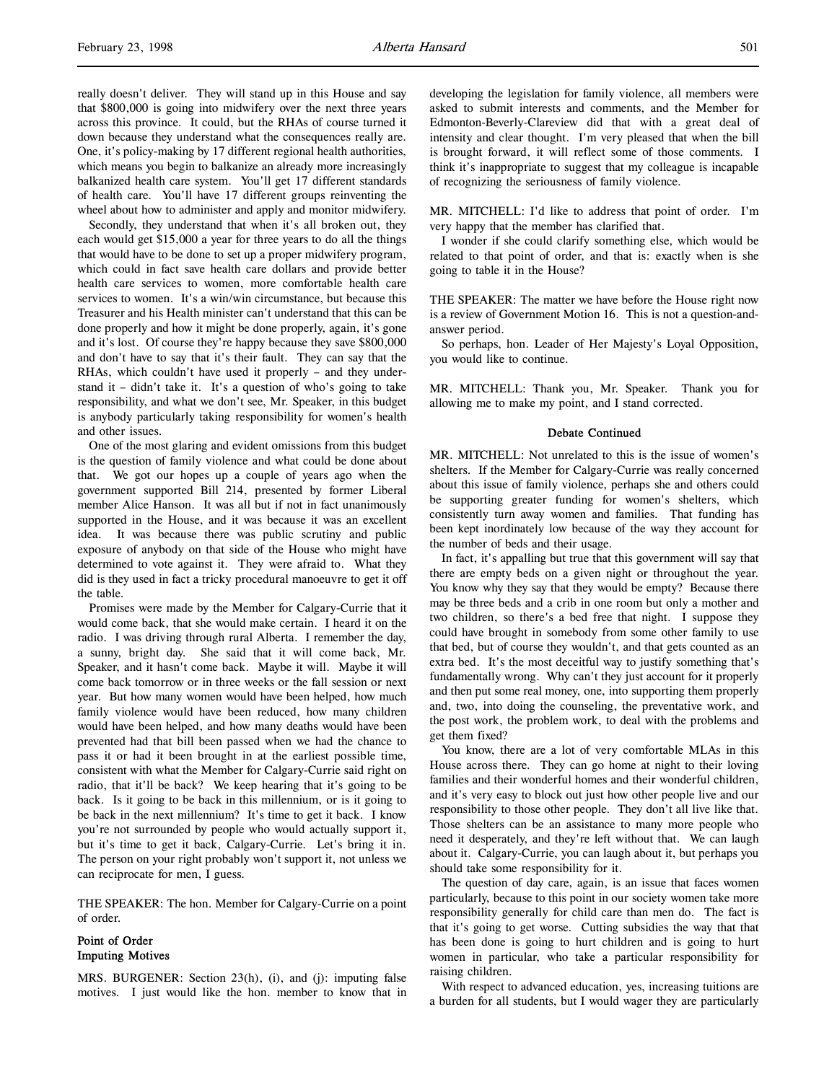Secondly, they understand that when it's all broken out, they each would get \$15,000 a year for three years to do all the things that would have to be done to set up a proper midwifery program, which could in fact save health care dollars and provide better health care services to women, more comfortable health care services to women. It's a win/win circumstance, but because this Treasurer and his Health minister can't understand that this can be done properly and how it might be done properly, again, it's gone and it's lost. Of course they're happy because they save \$800,000 and don't have to say that it's their fault. They can say that the RHAs, which couldn't have used it properly – and they understand it – didn't take it. It's a question of who's going to take responsibility, and what we don't see, Mr. Speaker, in this budget is anybody particularly taking responsibility for women's health and other issues.

One of the most glaring and evident omissions from this budget is the question of family violence and what could be done about that. We got our hopes up a couple of years ago when the government supported Bill 214, presented by former Liberal member Alice Hanson. It was all but if not in fact unanimously supported in the House, and it was because it was an excellent idea. It was because there was public scrutiny and public exposure of anybody on that side of the House who might have determined to vote against it. They were afraid to. What they did is they used in fact a tricky procedural manoeuvre to get it off the table.

Promises were made by the Member for Calgary-Currie that it would come back, that she would make certain. I heard it on the radio. I was driving through rural Alberta. I remember the day, a sunny, bright day. She said that it will come back, Mr. Speaker, and it hasn't come back. Maybe it will. Maybe it will come back tomorrow or in three weeks or the fall session or next year. But how many women would have been helped, how much family violence would have been reduced, how many children would have been helped, and how many deaths would have been prevented had that bill been passed when we had the chance to pass it or had it been brought in at the earliest possible time, consistent with what the Member for Calgary-Currie said right on radio, that it'll be back? We keep hearing that it's going to be back. Is it going to be back in this millennium, or is it going to be back in the next millennium? It's time to get it back. I know you're not surrounded by people who would actually support it, but it's time to get it back, Calgary-Currie. Let's bring it in. The person on your right probably won't support it, not unless we can reciprocate for men, I guess.

THE SPEAKER: The hon. Member for Calgary-Currie on a point of order.

# Point of Order Imputing Motives

MRS. BURGENER: Section 23(h), (i), and (j): imputing false motives. I just would like the hon. member to know that in developing the legislation for family violence, all members were asked to submit interests and comments, and the Member for Edmonton-Beverly-Clareview did that with a great deal of intensity and clear thought. I'm very pleased that when the bill is brought forward, it will reflect some of those comments. I think it's inappropriate to suggest that my colleague is incapable of recognizing the seriousness of family violence.

MR. MITCHELL: I'd like to address that point of order. I'm very happy that the member has clarified that.

I wonder if she could clarify something else, which would be related to that point of order, and that is: exactly when is she going to table it in the House?

THE SPEAKER: The matter we have before the House right now is a review of Government Motion 16. This is not a question-andanswer period.

So perhaps, hon. Leader of Her Majesty's Loyal Opposition, you would like to continue.

MR. MITCHELL: Thank you, Mr. Speaker. Thank you for allowing me to make my point, and I stand corrected.

### Debate Continued

MR. MITCHELL: Not unrelated to this is the issue of women's shelters. If the Member for Calgary-Currie was really concerned about this issue of family violence, perhaps she and others could be supporting greater funding for women's shelters, which consistently turn away women and families. That funding has been kept inordinately low because of the way they account for the number of beds and their usage.

In fact, it's appalling but true that this government will say that there are empty beds on a given night or throughout the year. You know why they say that they would be empty? Because there may be three beds and a crib in one room but only a mother and two children, so there's a bed free that night. I suppose they could have brought in somebody from some other family to use that bed, but of course they wouldn't, and that gets counted as an extra bed. It's the most deceitful way to justify something that's fundamentally wrong. Why can't they just account for it properly and then put some real money, one, into supporting them properly and, two, into doing the counseling, the preventative work, and the post work, the problem work, to deal with the problems and get them fixed?

You know, there are a lot of very comfortable MLAs in this House across there. They can go home at night to their loving families and their wonderful homes and their wonderful children, and it's very easy to block out just how other people live and our responsibility to those other people. They don't all live like that. Those shelters can be an assistance to many more people who need it desperately, and they're left without that. We can laugh about it. Calgary-Currie, you can laugh about it, but perhaps you should take some responsibility for it.

The question of day care, again, is an issue that faces women particularly, because to this point in our society women take more responsibility generally for child care than men do. The fact is that it's going to get worse. Cutting subsidies the way that that has been done is going to hurt children and is going to hurt women in particular, who take a particular responsibility for raising children.

With respect to advanced education, yes, increasing tuitions are a burden for all students, but I would wager they are particularly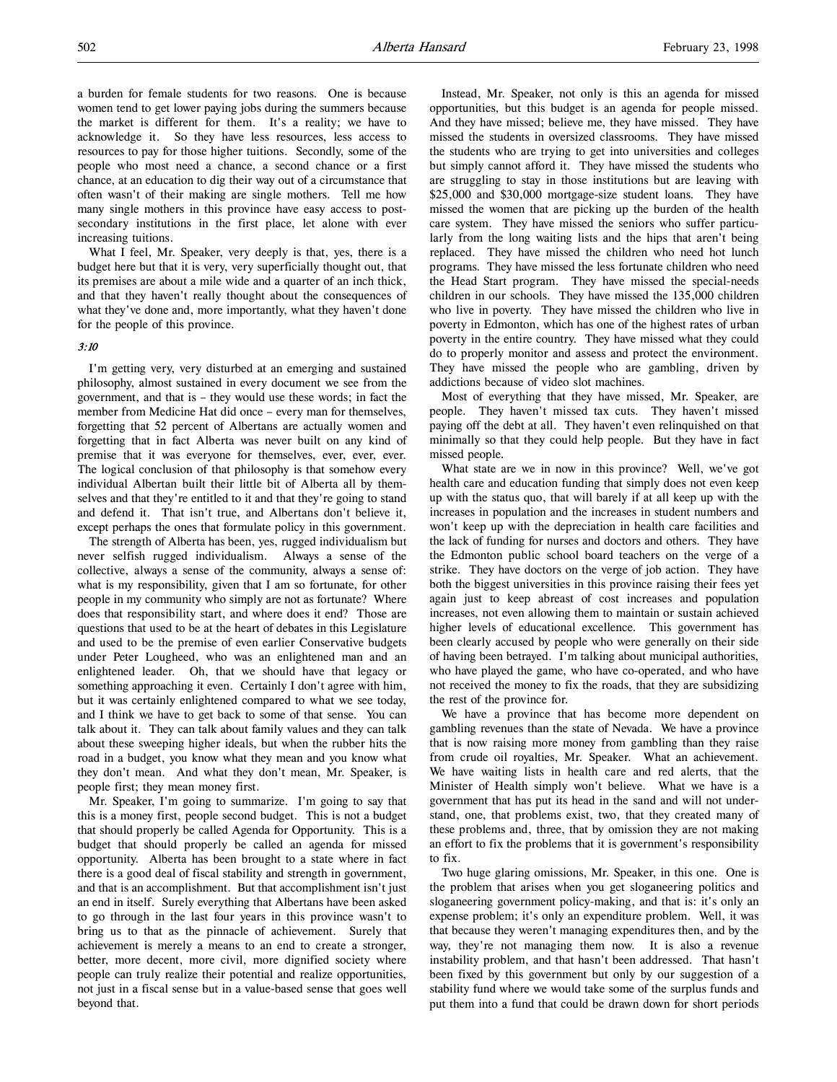a burden for female students for two reasons. One is because women tend to get lower paying jobs during the summers because the market is different for them. It's a reality; we have to acknowledge it. So they have less resources, less access to resources to pay for those higher tuitions. Secondly, some of the people who most need a chance, a second chance or a first chance, at an education to dig their way out of a circumstance that often wasn't of their making are single mothers. Tell me how many single mothers in this province have easy access to postsecondary institutions in the first place, let alone with ever increasing tuitions.

What I feel, Mr. Speaker, very deeply is that, yes, there is a budget here but that it is very, very superficially thought out, that its premises are about a mile wide and a quarter of an inch thick, and that they haven't really thought about the consequences of what they've done and, more importantly, what they haven't done for the people of this province.

# 3:10

I'm getting very, very disturbed at an emerging and sustained philosophy, almost sustained in every document we see from the government, and that is – they would use these words; in fact the member from Medicine Hat did once – every man for themselves, forgetting that 52 percent of Albertans are actually women and forgetting that in fact Alberta was never built on any kind of premise that it was everyone for themselves, ever, ever, ever. The logical conclusion of that philosophy is that somehow every individual Albertan built their little bit of Alberta all by themselves and that they're entitled to it and that they're going to stand and defend it. That isn't true, and Albertans don't believe it, except perhaps the ones that formulate policy in this government.

The strength of Alberta has been, yes, rugged individualism but never selfish rugged individualism. Always a sense of the collective, always a sense of the community, always a sense of: what is my responsibility, given that I am so fortunate, for other people in my community who simply are not as fortunate? Where does that responsibility start, and where does it end? Those are questions that used to be at the heart of debates in this Legislature and used to be the premise of even earlier Conservative budgets under Peter Lougheed, who was an enlightened man and an enlightened leader. Oh, that we should have that legacy or something approaching it even. Certainly I don't agree with him, but it was certainly enlightened compared to what we see today, and I think we have to get back to some of that sense. You can talk about it. They can talk about family values and they can talk about these sweeping higher ideals, but when the rubber hits the road in a budget, you know what they mean and you know what they don't mean. And what they don't mean, Mr. Speaker, is people first; they mean money first.

Mr. Speaker, I'm going to summarize. I'm going to say that this is a money first, people second budget. This is not a budget that should properly be called Agenda for Opportunity. This is a budget that should properly be called an agenda for missed opportunity. Alberta has been brought to a state where in fact there is a good deal of fiscal stability and strength in government, and that is an accomplishment. But that accomplishment isn't just an end in itself. Surely everything that Albertans have been asked to go through in the last four years in this province wasn't to bring us to that as the pinnacle of achievement. Surely that achievement is merely a means to an end to create a stronger, better, more decent, more civil, more dignified society where people can truly realize their potential and realize opportunities, not just in a fiscal sense but in a value-based sense that goes well beyond that.

Instead, Mr. Speaker, not only is this an agenda for missed opportunities, but this budget is an agenda for people missed. And they have missed; believe me, they have missed. They have missed the students in oversized classrooms. They have missed the students who are trying to get into universities and colleges but simply cannot afford it. They have missed the students who are struggling to stay in those institutions but are leaving with \$25,000 and \$30,000 mortgage-size student loans. They have missed the women that are picking up the burden of the health care system. They have missed the seniors who suffer particularly from the long waiting lists and the hips that aren't being replaced. They have missed the children who need hot lunch programs. They have missed the less fortunate children who need the Head Start program. They have missed the special-needs children in our schools. They have missed the 135,000 children who live in poverty. They have missed the children who live in poverty in Edmonton, which has one of the highest rates of urban poverty in the entire country. They have missed what they could do to properly monitor and assess and protect the environment. They have missed the people who are gambling, driven by addictions because of video slot machines.

Most of everything that they have missed, Mr. Speaker, are people. They haven't missed tax cuts. They haven't missed paying off the debt at all. They haven't even relinquished on that minimally so that they could help people. But they have in fact missed people.

What state are we in now in this province? Well, we've got health care and education funding that simply does not even keep up with the status quo, that will barely if at all keep up with the increases in population and the increases in student numbers and won't keep up with the depreciation in health care facilities and the lack of funding for nurses and doctors and others. They have the Edmonton public school board teachers on the verge of a strike. They have doctors on the verge of job action. They have both the biggest universities in this province raising their fees yet again just to keep abreast of cost increases and population increases, not even allowing them to maintain or sustain achieved higher levels of educational excellence. This government has been clearly accused by people who were generally on their side of having been betrayed. I'm talking about municipal authorities, who have played the game, who have co-operated, and who have not received the money to fix the roads, that they are subsidizing the rest of the province for.

We have a province that has become more dependent on gambling revenues than the state of Nevada. We have a province that is now raising more money from gambling than they raise from crude oil royalties, Mr. Speaker. What an achievement. We have waiting lists in health care and red alerts, that the Minister of Health simply won't believe. What we have is a government that has put its head in the sand and will not understand, one, that problems exist, two, that they created many of these problems and, three, that by omission they are not making an effort to fix the problems that it is government's responsibility to fix.

Two huge glaring omissions, Mr. Speaker, in this one. One is the problem that arises when you get sloganeering politics and sloganeering government policy-making, and that is: it's only an expense problem; it's only an expenditure problem. Well, it was that because they weren't managing expenditures then, and by the way, they're not managing them now. It is also a revenue instability problem, and that hasn't been addressed. That hasn't been fixed by this government but only by our suggestion of a stability fund where we would take some of the surplus funds and put them into a fund that could be drawn down for short periods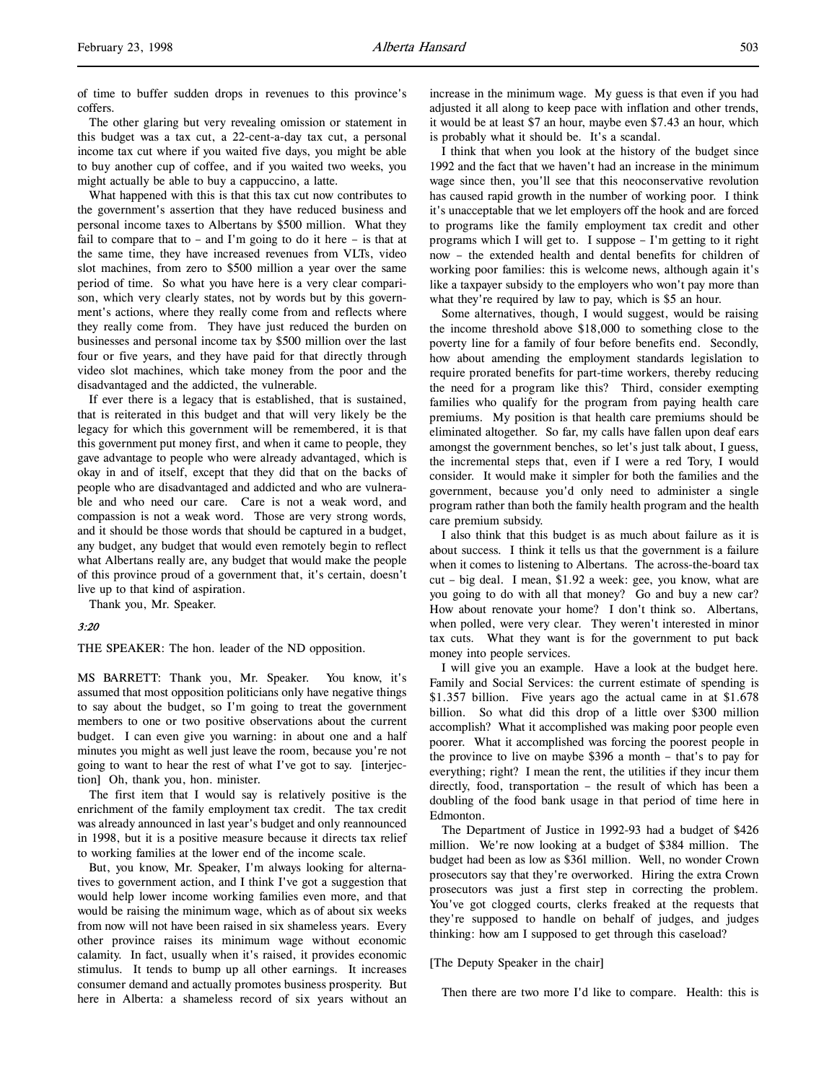of time to buffer sudden drops in revenues to this province's coffers.

The other glaring but very revealing omission or statement in this budget was a tax cut, a 22-cent-a-day tax cut, a personal income tax cut where if you waited five days, you might be able to buy another cup of coffee, and if you waited two weeks, you might actually be able to buy a cappuccino, a latte.

What happened with this is that this tax cut now contributes to the government's assertion that they have reduced business and personal income taxes to Albertans by \$500 million. What they fail to compare that to – and I'm going to do it here – is that at the same time, they have increased revenues from VLTs, video slot machines, from zero to \$500 million a year over the same period of time. So what you have here is a very clear comparison, which very clearly states, not by words but by this government's actions, where they really come from and reflects where they really come from. They have just reduced the burden on businesses and personal income tax by \$500 million over the last four or five years, and they have paid for that directly through video slot machines, which take money from the poor and the disadvantaged and the addicted, the vulnerable.

If ever there is a legacy that is established, that is sustained, that is reiterated in this budget and that will very likely be the legacy for which this government will be remembered, it is that this government put money first, and when it came to people, they gave advantage to people who were already advantaged, which is okay in and of itself, except that they did that on the backs of people who are disadvantaged and addicted and who are vulnerable and who need our care. Care is not a weak word, and compassion is not a weak word. Those are very strong words, and it should be those words that should be captured in a budget, any budget, any budget that would even remotely begin to reflect what Albertans really are, any budget that would make the people of this province proud of a government that, it's certain, doesn't live up to that kind of aspiration.

Thank you, Mr. Speaker.

#### 3:20

THE SPEAKER: The hon. leader of the ND opposition.

MS BARRETT: Thank you, Mr. Speaker. You know, it's assumed that most opposition politicians only have negative things to say about the budget, so I'm going to treat the government members to one or two positive observations about the current budget. I can even give you warning: in about one and a half minutes you might as well just leave the room, because you're not going to want to hear the rest of what I've got to say. [interjection] Oh, thank you, hon. minister.

The first item that I would say is relatively positive is the enrichment of the family employment tax credit. The tax credit was already announced in last year's budget and only reannounced in 1998, but it is a positive measure because it directs tax relief to working families at the lower end of the income scale.

But, you know, Mr. Speaker, I'm always looking for alternatives to government action, and I think I've got a suggestion that would help lower income working families even more, and that would be raising the minimum wage, which as of about six weeks from now will not have been raised in six shameless years. Every other province raises its minimum wage without economic calamity. In fact, usually when it's raised, it provides economic stimulus. It tends to bump up all other earnings. It increases consumer demand and actually promotes business prosperity. But here in Alberta: a shameless record of six years without an

increase in the minimum wage. My guess is that even if you had adjusted it all along to keep pace with inflation and other trends, it would be at least \$7 an hour, maybe even \$7.43 an hour, which is probably what it should be. It's a scandal.

I think that when you look at the history of the budget since 1992 and the fact that we haven't had an increase in the minimum wage since then, you'll see that this neoconservative revolution has caused rapid growth in the number of working poor. I think it's unacceptable that we let employers off the hook and are forced to programs like the family employment tax credit and other programs which I will get to. I suppose – I'm getting to it right now – the extended health and dental benefits for children of working poor families: this is welcome news, although again it's like a taxpayer subsidy to the employers who won't pay more than what they're required by law to pay, which is \$5 an hour.

Some alternatives, though, I would suggest, would be raising the income threshold above \$18,000 to something close to the poverty line for a family of four before benefits end. Secondly, how about amending the employment standards legislation to require prorated benefits for part-time workers, thereby reducing the need for a program like this? Third, consider exempting families who qualify for the program from paying health care premiums. My position is that health care premiums should be eliminated altogether. So far, my calls have fallen upon deaf ears amongst the government benches, so let's just talk about, I guess, the incremental steps that, even if I were a red Tory, I would consider. It would make it simpler for both the families and the government, because you'd only need to administer a single program rather than both the family health program and the health care premium subsidy.

I also think that this budget is as much about failure as it is about success. I think it tells us that the government is a failure when it comes to listening to Albertans. The across-the-board tax cut – big deal. I mean, \$1.92 a week: gee, you know, what are you going to do with all that money? Go and buy a new car? How about renovate your home? I don't think so. Albertans, when polled, were very clear. They weren't interested in minor tax cuts. What they want is for the government to put back money into people services.

I will give you an example. Have a look at the budget here. Family and Social Services: the current estimate of spending is \$1.357 billion. Five years ago the actual came in at \$1.678 billion. So what did this drop of a little over \$300 million accomplish? What it accomplished was making poor people even poorer. What it accomplished was forcing the poorest people in the province to live on maybe \$396 a month – that's to pay for everything; right? I mean the rent, the utilities if they incur them directly, food, transportation – the result of which has been a doubling of the food bank usage in that period of time here in Edmonton.

The Department of Justice in 1992-93 had a budget of \$426 million. We're now looking at a budget of \$384 million. The budget had been as low as \$361 million. Well, no wonder Crown prosecutors say that they're overworked. Hiring the extra Crown prosecutors was just a first step in correcting the problem. You've got clogged courts, clerks freaked at the requests that they're supposed to handle on behalf of judges, and judges thinking: how am I supposed to get through this caseload?

#### [The Deputy Speaker in the chair]

Then there are two more I'd like to compare. Health: this is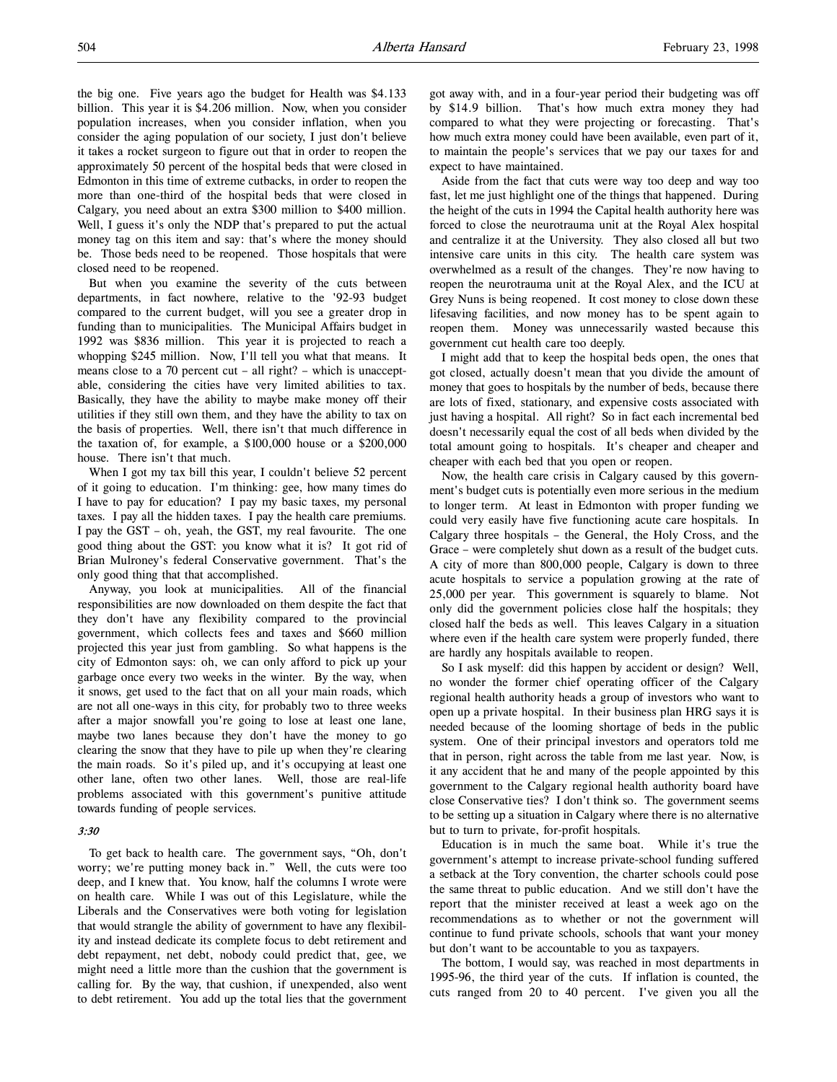the big one. Five years ago the budget for Health was \$4.133 billion. This year it is \$4.206 million. Now, when you consider population increases, when you consider inflation, when you consider the aging population of our society, I just don't believe it takes a rocket surgeon to figure out that in order to reopen the approximately 50 percent of the hospital beds that were closed in Edmonton in this time of extreme cutbacks, in order to reopen the more than one-third of the hospital beds that were closed in Calgary, you need about an extra \$300 million to \$400 million. Well, I guess it's only the NDP that's prepared to put the actual money tag on this item and say: that's where the money should be. Those beds need to be reopened. Those hospitals that were closed need to be reopened.

But when you examine the severity of the cuts between departments, in fact nowhere, relative to the '92-93 budget compared to the current budget, will you see a greater drop in funding than to municipalities. The Municipal Affairs budget in 1992 was \$836 million. This year it is projected to reach a whopping \$245 million. Now, I'll tell you what that means. It means close to a 70 percent cut – all right? – which is unacceptable, considering the cities have very limited abilities to tax. Basically, they have the ability to maybe make money off their utilities if they still own them, and they have the ability to tax on the basis of properties. Well, there isn't that much difference in the taxation of, for example, a \$100,000 house or a \$200,000 house. There isn't that much.

When I got my tax bill this year, I couldn't believe 52 percent of it going to education. I'm thinking: gee, how many times do I have to pay for education? I pay my basic taxes, my personal taxes. I pay all the hidden taxes. I pay the health care premiums. I pay the GST – oh, yeah, the GST, my real favourite. The one good thing about the GST: you know what it is? It got rid of Brian Mulroney's federal Conservative government. That's the only good thing that that accomplished.

Anyway, you look at municipalities. All of the financial responsibilities are now downloaded on them despite the fact that they don't have any flexibility compared to the provincial government, which collects fees and taxes and \$660 million projected this year just from gambling. So what happens is the city of Edmonton says: oh, we can only afford to pick up your garbage once every two weeks in the winter. By the way, when it snows, get used to the fact that on all your main roads, which are not all one-ways in this city, for probably two to three weeks after a major snowfall you're going to lose at least one lane, maybe two lanes because they don't have the money to go clearing the snow that they have to pile up when they're clearing the main roads. So it's piled up, and it's occupying at least one other lane, often two other lanes. Well, those are real-life problems associated with this government's punitive attitude towards funding of people services.

### 3:30

To get back to health care. The government says, "Oh, don't worry; we're putting money back in." Well, the cuts were too deep, and I knew that. You know, half the columns I wrote were on health care. While I was out of this Legislature, while the Liberals and the Conservatives were both voting for legislation that would strangle the ability of government to have any flexibility and instead dedicate its complete focus to debt retirement and debt repayment, net debt, nobody could predict that, gee, we might need a little more than the cushion that the government is calling for. By the way, that cushion, if unexpended, also went to debt retirement. You add up the total lies that the government got away with, and in a four-year period their budgeting was off by \$14.9 billion. That's how much extra money they had compared to what they were projecting or forecasting. That's how much extra money could have been available, even part of it, to maintain the people's services that we pay our taxes for and expect to have maintained.

Aside from the fact that cuts were way too deep and way too fast, let me just highlight one of the things that happened. During the height of the cuts in 1994 the Capital health authority here was forced to close the neurotrauma unit at the Royal Alex hospital and centralize it at the University. They also closed all but two intensive care units in this city. The health care system was overwhelmed as a result of the changes. They're now having to reopen the neurotrauma unit at the Royal Alex, and the ICU at Grey Nuns is being reopened. It cost money to close down these lifesaving facilities, and now money has to be spent again to reopen them. Money was unnecessarily wasted because this government cut health care too deeply.

I might add that to keep the hospital beds open, the ones that got closed, actually doesn't mean that you divide the amount of money that goes to hospitals by the number of beds, because there are lots of fixed, stationary, and expensive costs associated with just having a hospital. All right? So in fact each incremental bed doesn't necessarily equal the cost of all beds when divided by the total amount going to hospitals. It's cheaper and cheaper and cheaper with each bed that you open or reopen.

Now, the health care crisis in Calgary caused by this government's budget cuts is potentially even more serious in the medium to longer term. At least in Edmonton with proper funding we could very easily have five functioning acute care hospitals. In Calgary three hospitals – the General, the Holy Cross, and the Grace – were completely shut down as a result of the budget cuts. A city of more than 800,000 people, Calgary is down to three acute hospitals to service a population growing at the rate of 25,000 per year. This government is squarely to blame. Not only did the government policies close half the hospitals; they closed half the beds as well. This leaves Calgary in a situation where even if the health care system were properly funded, there are hardly any hospitals available to reopen.

So I ask myself: did this happen by accident or design? Well, no wonder the former chief operating officer of the Calgary regional health authority heads a group of investors who want to open up a private hospital. In their business plan HRG says it is needed because of the looming shortage of beds in the public system. One of their principal investors and operators told me that in person, right across the table from me last year. Now, is it any accident that he and many of the people appointed by this government to the Calgary regional health authority board have close Conservative ties? I don't think so. The government seems to be setting up a situation in Calgary where there is no alternative but to turn to private, for-profit hospitals.

Education is in much the same boat. While it's true the government's attempt to increase private-school funding suffered a setback at the Tory convention, the charter schools could pose the same threat to public education. And we still don't have the report that the minister received at least a week ago on the recommendations as to whether or not the government will continue to fund private schools, schools that want your money but don't want to be accountable to you as taxpayers.

The bottom, I would say, was reached in most departments in 1995-96, the third year of the cuts. If inflation is counted, the cuts ranged from 20 to 40 percent. I've given you all the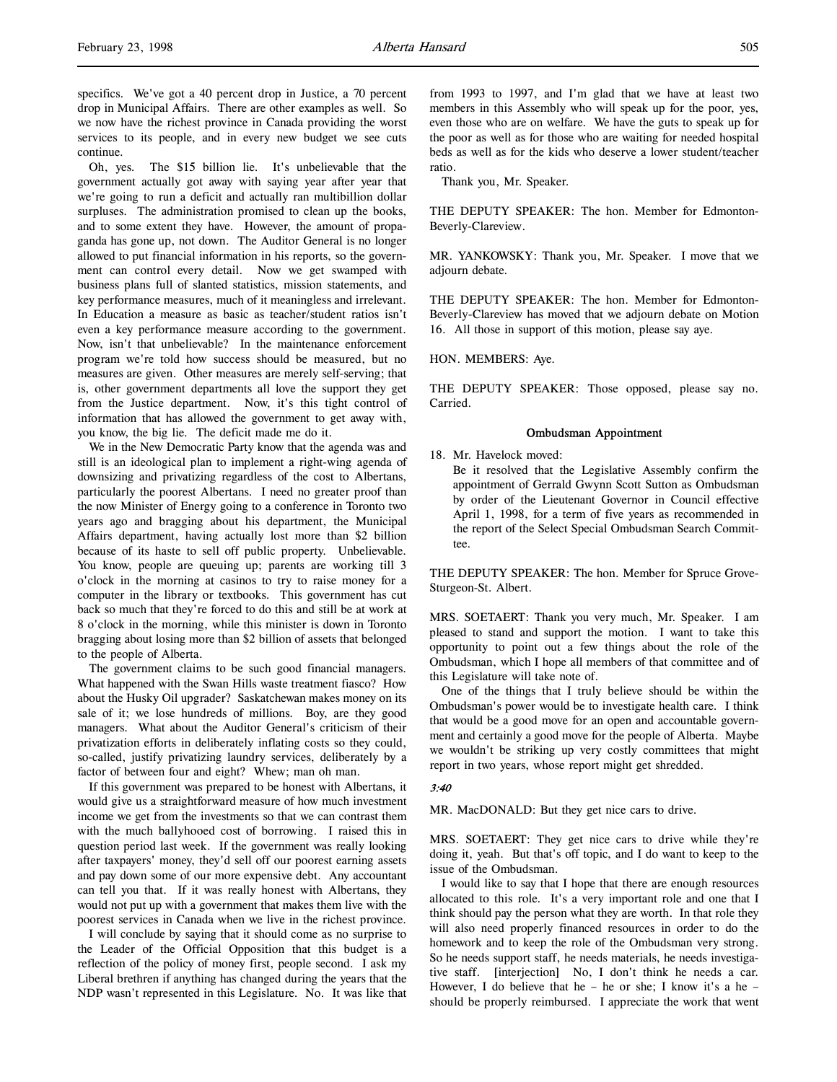specifics. We've got a 40 percent drop in Justice, a 70 percent drop in Municipal Affairs. There are other examples as well. So we now have the richest province in Canada providing the worst services to its people, and in every new budget we see cuts continue.

Oh, yes. The \$15 billion lie. It's unbelievable that the government actually got away with saying year after year that we're going to run a deficit and actually ran multibillion dollar surpluses. The administration promised to clean up the books, and to some extent they have. However, the amount of propaganda has gone up, not down. The Auditor General is no longer allowed to put financial information in his reports, so the government can control every detail. Now we get swamped with business plans full of slanted statistics, mission statements, and key performance measures, much of it meaningless and irrelevant. In Education a measure as basic as teacher/student ratios isn't even a key performance measure according to the government. Now, isn't that unbelievable? In the maintenance enforcement program we're told how success should be measured, but no measures are given. Other measures are merely self-serving; that is, other government departments all love the support they get from the Justice department. Now, it's this tight control of information that has allowed the government to get away with, you know, the big lie. The deficit made me do it.

We in the New Democratic Party know that the agenda was and still is an ideological plan to implement a right-wing agenda of downsizing and privatizing regardless of the cost to Albertans, particularly the poorest Albertans. I need no greater proof than the now Minister of Energy going to a conference in Toronto two years ago and bragging about his department, the Municipal Affairs department, having actually lost more than \$2 billion because of its haste to sell off public property. Unbelievable. You know, people are queuing up; parents are working till 3 o'clock in the morning at casinos to try to raise money for a computer in the library or textbooks. This government has cut back so much that they're forced to do this and still be at work at 8 o'clock in the morning, while this minister is down in Toronto bragging about losing more than \$2 billion of assets that belonged to the people of Alberta.

The government claims to be such good financial managers. What happened with the Swan Hills waste treatment fiasco? How about the Husky Oil upgrader? Saskatchewan makes money on its sale of it; we lose hundreds of millions. Boy, are they good managers. What about the Auditor General's criticism of their privatization efforts in deliberately inflating costs so they could, so-called, justify privatizing laundry services, deliberately by a factor of between four and eight? Whew; man oh man.

If this government was prepared to be honest with Albertans, it would give us a straightforward measure of how much investment income we get from the investments so that we can contrast them with the much ballyhooed cost of borrowing. I raised this in question period last week. If the government was really looking after taxpayers' money, they'd sell off our poorest earning assets and pay down some of our more expensive debt. Any accountant can tell you that. If it was really honest with Albertans, they would not put up with a government that makes them live with the poorest services in Canada when we live in the richest province.

I will conclude by saying that it should come as no surprise to the Leader of the Official Opposition that this budget is a reflection of the policy of money first, people second. I ask my Liberal brethren if anything has changed during the years that the NDP wasn't represented in this Legislature. No. It was like that from 1993 to 1997, and I'm glad that we have at least two members in this Assembly who will speak up for the poor, yes, even those who are on welfare. We have the guts to speak up for the poor as well as for those who are waiting for needed hospital beds as well as for the kids who deserve a lower student/teacher ratio.

Thank you, Mr. Speaker.

THE DEPUTY SPEAKER: The hon. Member for Edmonton-Beverly-Clareview.

MR. YANKOWSKY: Thank you, Mr. Speaker. I move that we adjourn debate.

THE DEPUTY SPEAKER: The hon. Member for Edmonton-Beverly-Clareview has moved that we adjourn debate on Motion 16. All those in support of this motion, please say aye.

HON. MEMBERS: Aye.

THE DEPUTY SPEAKER: Those opposed, please say no. Carried.

#### Ombudsman Appointment

18. Mr. Havelock moved:

Be it resolved that the Legislative Assembly confirm the appointment of Gerrald Gwynn Scott Sutton as Ombudsman by order of the Lieutenant Governor in Council effective April 1, 1998, for a term of five years as recommended in the report of the Select Special Ombudsman Search Committee.

THE DEPUTY SPEAKER: The hon. Member for Spruce Grove-Sturgeon-St. Albert.

MRS. SOETAERT: Thank you very much, Mr. Speaker. I am pleased to stand and support the motion. I want to take this opportunity to point out a few things about the role of the Ombudsman, which I hope all members of that committee and of this Legislature will take note of.

One of the things that I truly believe should be within the Ombudsman's power would be to investigate health care. I think that would be a good move for an open and accountable government and certainly a good move for the people of Alberta. Maybe we wouldn't be striking up very costly committees that might report in two years, whose report might get shredded.

# 3:40

MR. MacDONALD: But they get nice cars to drive.

MRS. SOETAERT: They get nice cars to drive while they're doing it, yeah. But that's off topic, and I do want to keep to the issue of the Ombudsman.

I would like to say that I hope that there are enough resources allocated to this role. It's a very important role and one that I think should pay the person what they are worth. In that role they will also need properly financed resources in order to do the homework and to keep the role of the Ombudsman very strong. So he needs support staff, he needs materials, he needs investigative staff. [interjection] No, I don't think he needs a car. However, I do believe that he – he or she; I know it's a he – should be properly reimbursed. I appreciate the work that went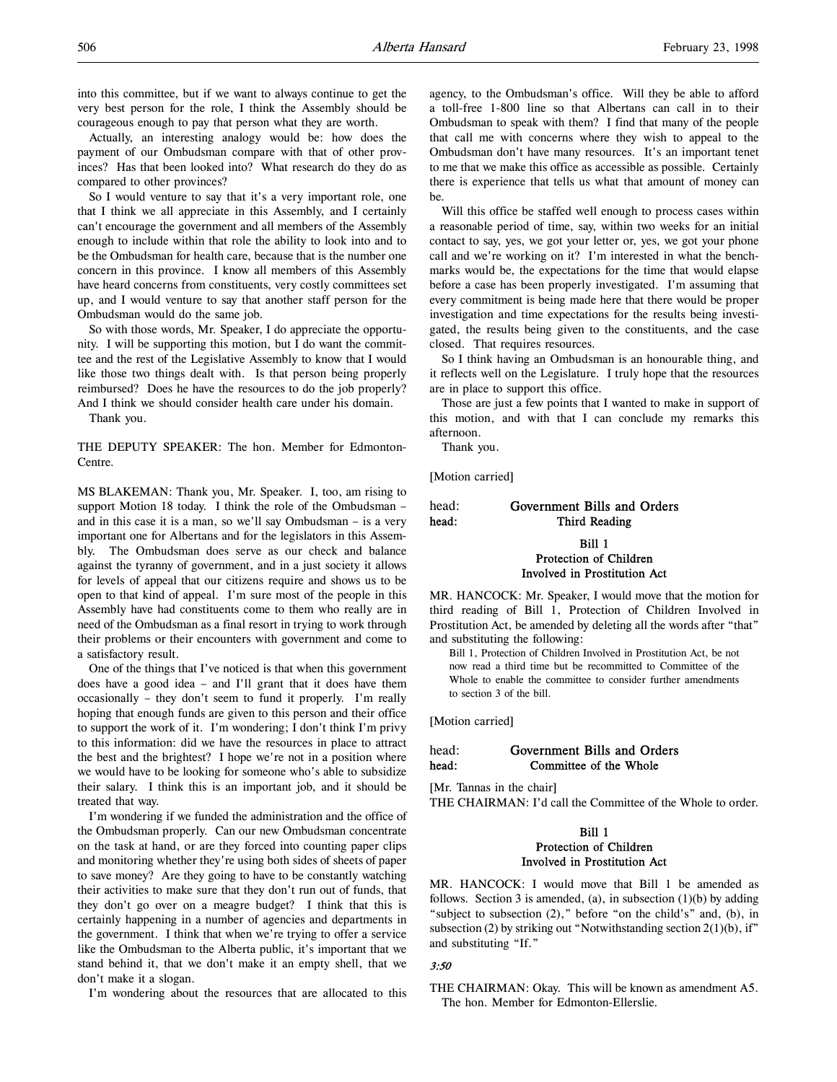Actually, an interesting analogy would be: how does the payment of our Ombudsman compare with that of other provinces? Has that been looked into? What research do they do as compared to other provinces?

So I would venture to say that it's a very important role, one that I think we all appreciate in this Assembly, and I certainly can't encourage the government and all members of the Assembly enough to include within that role the ability to look into and to be the Ombudsman for health care, because that is the number one concern in this province. I know all members of this Assembly have heard concerns from constituents, very costly committees set up, and I would venture to say that another staff person for the Ombudsman would do the same job.

So with those words, Mr. Speaker, I do appreciate the opportunity. I will be supporting this motion, but I do want the committee and the rest of the Legislative Assembly to know that I would like those two things dealt with. Is that person being properly reimbursed? Does he have the resources to do the job properly? And I think we should consider health care under his domain.

Thank you.

THE DEPUTY SPEAKER: The hon. Member for Edmonton-Centre.

MS BLAKEMAN: Thank you, Mr. Speaker. I, too, am rising to support Motion 18 today. I think the role of the Ombudsman – and in this case it is a man, so we'll say Ombudsman – is a very important one for Albertans and for the legislators in this Assembly. The Ombudsman does serve as our check and balance against the tyranny of government, and in a just society it allows for levels of appeal that our citizens require and shows us to be open to that kind of appeal. I'm sure most of the people in this Assembly have had constituents come to them who really are in need of the Ombudsman as a final resort in trying to work through their problems or their encounters with government and come to a satisfactory result.

One of the things that I've noticed is that when this government does have a good idea – and I'll grant that it does have them occasionally – they don't seem to fund it properly. I'm really hoping that enough funds are given to this person and their office to support the work of it. I'm wondering; I don't think I'm privy to this information: did we have the resources in place to attract the best and the brightest? I hope we're not in a position where we would have to be looking for someone who's able to subsidize their salary. I think this is an important job, and it should be treated that way.

I'm wondering if we funded the administration and the office of the Ombudsman properly. Can our new Ombudsman concentrate on the task at hand, or are they forced into counting paper clips and monitoring whether they're using both sides of sheets of paper to save money? Are they going to have to be constantly watching their activities to make sure that they don't run out of funds, that they don't go over on a meagre budget? I think that this is certainly happening in a number of agencies and departments in the government. I think that when we're trying to offer a service like the Ombudsman to the Alberta public, it's important that we stand behind it, that we don't make it an empty shell, that we don't make it a slogan.

I'm wondering about the resources that are allocated to this

agency, to the Ombudsman's office. Will they be able to afford a toll-free 1-800 line so that Albertans can call in to their Ombudsman to speak with them? I find that many of the people that call me with concerns where they wish to appeal to the Ombudsman don't have many resources. It's an important tenet to me that we make this office as accessible as possible. Certainly there is experience that tells us what that amount of money can be.

Will this office be staffed well enough to process cases within a reasonable period of time, say, within two weeks for an initial contact to say, yes, we got your letter or, yes, we got your phone call and we're working on it? I'm interested in what the benchmarks would be, the expectations for the time that would elapse before a case has been properly investigated. I'm assuming that every commitment is being made here that there would be proper investigation and time expectations for the results being investigated, the results being given to the constituents, and the case closed. That requires resources.

So I think having an Ombudsman is an honourable thing, and it reflects well on the Legislature. I truly hope that the resources are in place to support this office.

Those are just a few points that I wanted to make in support of this motion, and with that I can conclude my remarks this afternoon.

Thank you.

[Motion carried]

# head: Government Bills and Orders head: Third Reading

# Bill 1 Protection of Children Involved in Prostitution Act

MR. HANCOCK: Mr. Speaker, I would move that the motion for third reading of Bill 1, Protection of Children Involved in Prostitution Act, be amended by deleting all the words after "that" and substituting the following:

Bill 1, Protection of Children Involved in Prostitution Act, be not now read a third time but be recommitted to Committee of the Whole to enable the committee to consider further amendments to section 3 of the bill.

[Motion carried]

# head: Government Bills and Orders head: Committee of the Whole

[Mr. Tannas in the chair]

THE CHAIRMAN: I'd call the Committee of the Whole to order.

# Bill 1 Protection of Children Involved in Prostitution Act

MR. HANCOCK: I would move that Bill 1 be amended as follows. Section 3 is amended, (a), in subsection  $(1)(b)$  by adding "subject to subsection (2)," before "on the child's" and, (b), in subsection (2) by striking out "Notwithstanding section  $2(1)(b)$ , if" and substituting "If."

# 3:50

# THE CHAIRMAN: Okay. This will be known as amendment A5. The hon. Member for Edmonton-Ellerslie.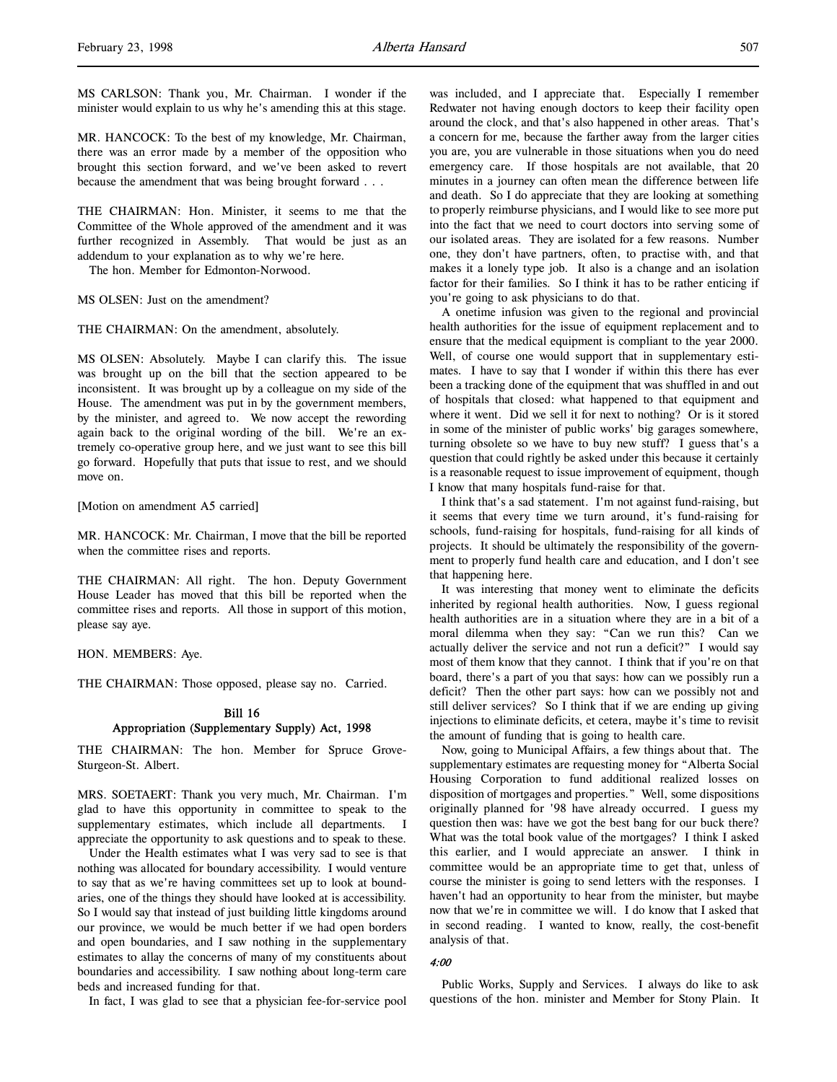MR. HANCOCK: To the best of my knowledge, Mr. Chairman, there was an error made by a member of the opposition who brought this section forward, and we've been asked to revert because the amendment that was being brought forward . . .

THE CHAIRMAN: Hon. Minister, it seems to me that the Committee of the Whole approved of the amendment and it was further recognized in Assembly. That would be just as an addendum to your explanation as to why we're here.

The hon. Member for Edmonton-Norwood.

## MS OLSEN: Just on the amendment?

THE CHAIRMAN: On the amendment, absolutely.

MS OLSEN: Absolutely. Maybe I can clarify this. The issue was brought up on the bill that the section appeared to be inconsistent. It was brought up by a colleague on my side of the House. The amendment was put in by the government members, by the minister, and agreed to. We now accept the rewording again back to the original wording of the bill. We're an extremely co-operative group here, and we just want to see this bill go forward. Hopefully that puts that issue to rest, and we should move on.

#### [Motion on amendment A5 carried]

MR. HANCOCK: Mr. Chairman, I move that the bill be reported when the committee rises and reports.

THE CHAIRMAN: All right. The hon. Deputy Government House Leader has moved that this bill be reported when the committee rises and reports. All those in support of this motion, please say aye.

HON. MEMBERS: Aye.

THE CHAIRMAN: Those opposed, please say no. Carried.

# Bill 16 Appropriation (Supplementary Supply) Act, 1998

THE CHAIRMAN: The hon. Member for Spruce Grove-Sturgeon-St. Albert.

MRS. SOETAERT: Thank you very much, Mr. Chairman. I'm glad to have this opportunity in committee to speak to the supplementary estimates, which include all departments. I appreciate the opportunity to ask questions and to speak to these.

Under the Health estimates what I was very sad to see is that nothing was allocated for boundary accessibility. I would venture to say that as we're having committees set up to look at boundaries, one of the things they should have looked at is accessibility. So I would say that instead of just building little kingdoms around our province, we would be much better if we had open borders and open boundaries, and I saw nothing in the supplementary estimates to allay the concerns of many of my constituents about boundaries and accessibility. I saw nothing about long-term care beds and increased funding for that.

In fact, I was glad to see that a physician fee-for-service pool

was included, and I appreciate that. Especially I remember Redwater not having enough doctors to keep their facility open around the clock, and that's also happened in other areas. That's a concern for me, because the farther away from the larger cities you are, you are vulnerable in those situations when you do need emergency care. If those hospitals are not available, that 20 minutes in a journey can often mean the difference between life and death. So I do appreciate that they are looking at something to properly reimburse physicians, and I would like to see more put into the fact that we need to court doctors into serving some of our isolated areas. They are isolated for a few reasons. Number one, they don't have partners, often, to practise with, and that makes it a lonely type job. It also is a change and an isolation factor for their families. So I think it has to be rather enticing if you're going to ask physicians to do that.

A onetime infusion was given to the regional and provincial health authorities for the issue of equipment replacement and to ensure that the medical equipment is compliant to the year 2000. Well, of course one would support that in supplementary estimates. I have to say that I wonder if within this there has ever been a tracking done of the equipment that was shuffled in and out of hospitals that closed: what happened to that equipment and where it went. Did we sell it for next to nothing? Or is it stored in some of the minister of public works' big garages somewhere, turning obsolete so we have to buy new stuff? I guess that's a question that could rightly be asked under this because it certainly is a reasonable request to issue improvement of equipment, though I know that many hospitals fund-raise for that.

I think that's a sad statement. I'm not against fund-raising, but it seems that every time we turn around, it's fund-raising for schools, fund-raising for hospitals, fund-raising for all kinds of projects. It should be ultimately the responsibility of the government to properly fund health care and education, and I don't see that happening here.

It was interesting that money went to eliminate the deficits inherited by regional health authorities. Now, I guess regional health authorities are in a situation where they are in a bit of a moral dilemma when they say: "Can we run this? Can we actually deliver the service and not run a deficit?" I would say most of them know that they cannot. I think that if you're on that board, there's a part of you that says: how can we possibly run a deficit? Then the other part says: how can we possibly not and still deliver services? So I think that if we are ending up giving injections to eliminate deficits, et cetera, maybe it's time to revisit the amount of funding that is going to health care.

Now, going to Municipal Affairs, a few things about that. The supplementary estimates are requesting money for "Alberta Social Housing Corporation to fund additional realized losses on disposition of mortgages and properties." Well, some dispositions originally planned for '98 have already occurred. I guess my question then was: have we got the best bang for our buck there? What was the total book value of the mortgages? I think I asked this earlier, and I would appreciate an answer. I think in committee would be an appropriate time to get that, unless of course the minister is going to send letters with the responses. I haven't had an opportunity to hear from the minister, but maybe now that we're in committee we will. I do know that I asked that in second reading. I wanted to know, really, the cost-benefit analysis of that.

#### 4:00

Public Works, Supply and Services. I always do like to ask questions of the hon. minister and Member for Stony Plain. It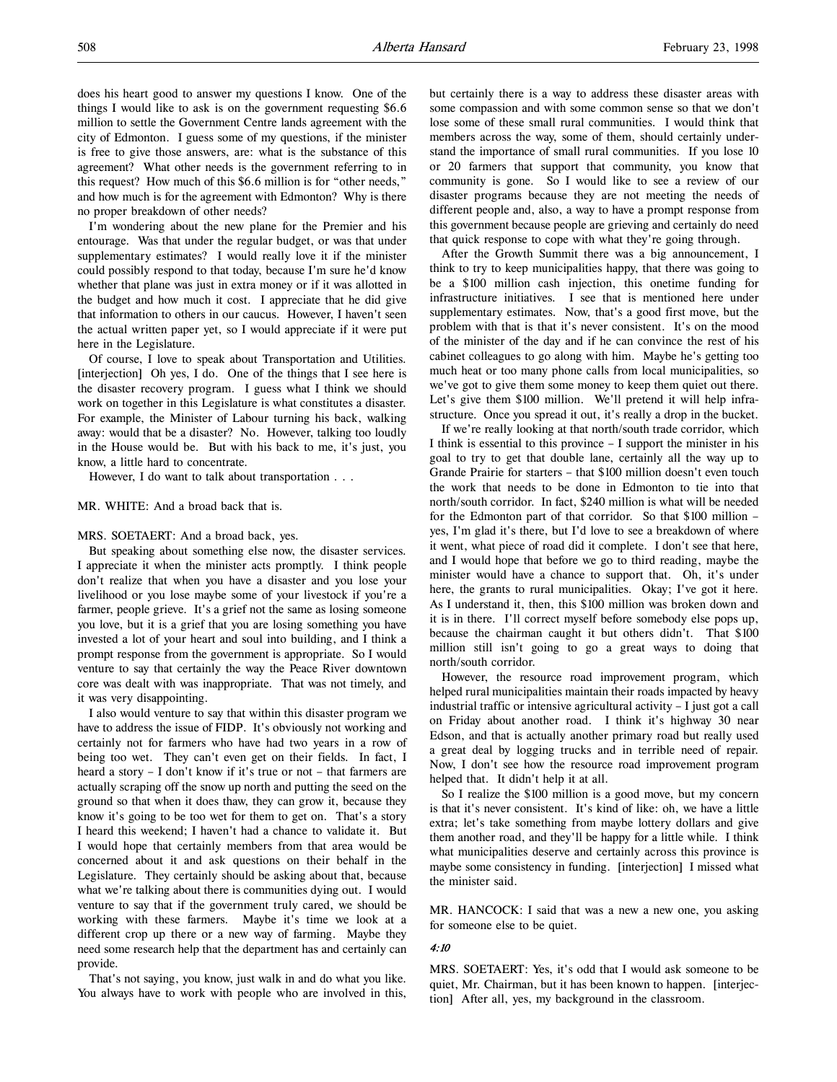does his heart good to answer my questions I know. One of the things I would like to ask is on the government requesting \$6.6 million to settle the Government Centre lands agreement with the city of Edmonton. I guess some of my questions, if the minister is free to give those answers, are: what is the substance of this agreement? What other needs is the government referring to in this request? How much of this \$6.6 million is for "other needs," and how much is for the agreement with Edmonton? Why is there no proper breakdown of other needs?

I'm wondering about the new plane for the Premier and his entourage. Was that under the regular budget, or was that under supplementary estimates? I would really love it if the minister could possibly respond to that today, because I'm sure he'd know whether that plane was just in extra money or if it was allotted in the budget and how much it cost. I appreciate that he did give that information to others in our caucus. However, I haven't seen the actual written paper yet, so I would appreciate if it were put here in the Legislature.

Of course, I love to speak about Transportation and Utilities. [interjection] Oh yes, I do. One of the things that I see here is the disaster recovery program. I guess what I think we should work on together in this Legislature is what constitutes a disaster. For example, the Minister of Labour turning his back, walking away: would that be a disaster? No. However, talking too loudly in the House would be. But with his back to me, it's just, you know, a little hard to concentrate.

However, I do want to talk about transportation . . .

#### MR. WHITE: And a broad back that is.

## MRS. SOETAERT: And a broad back, yes.

But speaking about something else now, the disaster services. I appreciate it when the minister acts promptly. I think people don't realize that when you have a disaster and you lose your livelihood or you lose maybe some of your livestock if you're a farmer, people grieve. It's a grief not the same as losing someone you love, but it is a grief that you are losing something you have invested a lot of your heart and soul into building, and I think a prompt response from the government is appropriate. So I would venture to say that certainly the way the Peace River downtown core was dealt with was inappropriate. That was not timely, and it was very disappointing.

I also would venture to say that within this disaster program we have to address the issue of FIDP. It's obviously not working and certainly not for farmers who have had two years in a row of being too wet. They can't even get on their fields. In fact, I heard a story – I don't know if it's true or not – that farmers are actually scraping off the snow up north and putting the seed on the ground so that when it does thaw, they can grow it, because they know it's going to be too wet for them to get on. That's a story I heard this weekend; I haven't had a chance to validate it. But I would hope that certainly members from that area would be concerned about it and ask questions on their behalf in the Legislature. They certainly should be asking about that, because what we're talking about there is communities dying out. I would venture to say that if the government truly cared, we should be working with these farmers. Maybe it's time we look at a different crop up there or a new way of farming. Maybe they need some research help that the department has and certainly can provide.

That's not saying, you know, just walk in and do what you like. You always have to work with people who are involved in this,

but certainly there is a way to address these disaster areas with some compassion and with some common sense so that we don't lose some of these small rural communities. I would think that members across the way, some of them, should certainly understand the importance of small rural communities. If you lose 10 or 20 farmers that support that community, you know that community is gone. So I would like to see a review of our disaster programs because they are not meeting the needs of different people and, also, a way to have a prompt response from this government because people are grieving and certainly do need that quick response to cope with what they're going through.

After the Growth Summit there was a big announcement, I think to try to keep municipalities happy, that there was going to be a \$100 million cash injection, this onetime funding for infrastructure initiatives. I see that is mentioned here under supplementary estimates. Now, that's a good first move, but the problem with that is that it's never consistent. It's on the mood of the minister of the day and if he can convince the rest of his cabinet colleagues to go along with him. Maybe he's getting too much heat or too many phone calls from local municipalities, so we've got to give them some money to keep them quiet out there. Let's give them \$100 million. We'll pretend it will help infrastructure. Once you spread it out, it's really a drop in the bucket.

If we're really looking at that north/south trade corridor, which I think is essential to this province – I support the minister in his goal to try to get that double lane, certainly all the way up to Grande Prairie for starters – that \$100 million doesn't even touch the work that needs to be done in Edmonton to tie into that north/south corridor. In fact, \$240 million is what will be needed for the Edmonton part of that corridor. So that \$100 million – yes, I'm glad it's there, but I'd love to see a breakdown of where it went, what piece of road did it complete. I don't see that here, and I would hope that before we go to third reading, maybe the minister would have a chance to support that. Oh, it's under here, the grants to rural municipalities. Okay; I've got it here. As I understand it, then, this \$100 million was broken down and it is in there. I'll correct myself before somebody else pops up, because the chairman caught it but others didn't. That \$100 million still isn't going to go a great ways to doing that north/south corridor.

However, the resource road improvement program, which helped rural municipalities maintain their roads impacted by heavy industrial traffic or intensive agricultural activity – I just got a call on Friday about another road. I think it's highway 30 near Edson, and that is actually another primary road but really used a great deal by logging trucks and in terrible need of repair. Now, I don't see how the resource road improvement program helped that. It didn't help it at all.

So I realize the \$100 million is a good move, but my concern is that it's never consistent. It's kind of like: oh, we have a little extra; let's take something from maybe lottery dollars and give them another road, and they'll be happy for a little while. I think what municipalities deserve and certainly across this province is maybe some consistency in funding. [interjection] I missed what the minister said.

MR. HANCOCK: I said that was a new a new one, you asking for someone else to be quiet.

### 4:10

MRS. SOETAERT: Yes, it's odd that I would ask someone to be quiet, Mr. Chairman, but it has been known to happen. [interjection] After all, yes, my background in the classroom.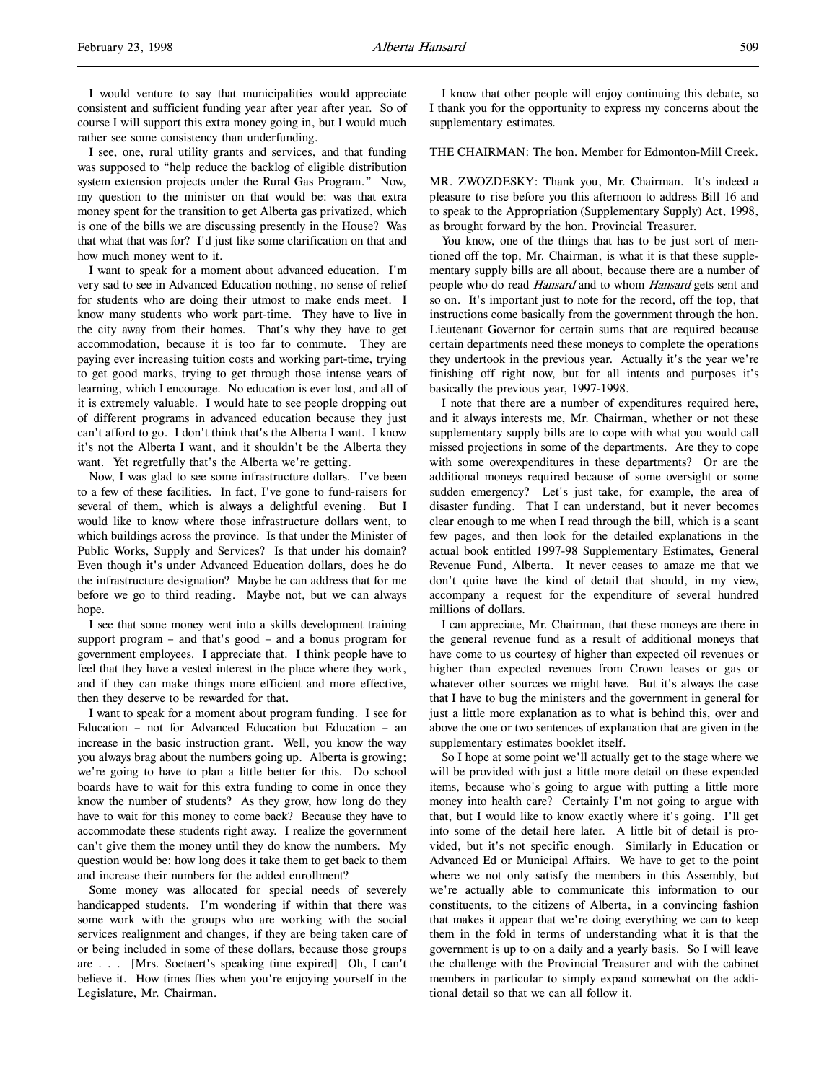I see, one, rural utility grants and services, and that funding was supposed to "help reduce the backlog of eligible distribution system extension projects under the Rural Gas Program." Now, my question to the minister on that would be: was that extra money spent for the transition to get Alberta gas privatized, which is one of the bills we are discussing presently in the House? Was that what that was for? I'd just like some clarification on that and how much money went to it.

I want to speak for a moment about advanced education. I'm very sad to see in Advanced Education nothing, no sense of relief for students who are doing their utmost to make ends meet. I know many students who work part-time. They have to live in the city away from their homes. That's why they have to get accommodation, because it is too far to commute. They are paying ever increasing tuition costs and working part-time, trying to get good marks, trying to get through those intense years of learning, which I encourage. No education is ever lost, and all of it is extremely valuable. I would hate to see people dropping out of different programs in advanced education because they just can't afford to go. I don't think that's the Alberta I want. I know it's not the Alberta I want, and it shouldn't be the Alberta they want. Yet regretfully that's the Alberta we're getting.

Now, I was glad to see some infrastructure dollars. I've been to a few of these facilities. In fact, I've gone to fund-raisers for several of them, which is always a delightful evening. But I would like to know where those infrastructure dollars went, to which buildings across the province. Is that under the Minister of Public Works, Supply and Services? Is that under his domain? Even though it's under Advanced Education dollars, does he do the infrastructure designation? Maybe he can address that for me before we go to third reading. Maybe not, but we can always hope.

I see that some money went into a skills development training support program – and that's good – and a bonus program for government employees. I appreciate that. I think people have to feel that they have a vested interest in the place where they work, and if they can make things more efficient and more effective, then they deserve to be rewarded for that.

I want to speak for a moment about program funding. I see for Education – not for Advanced Education but Education – an increase in the basic instruction grant. Well, you know the way you always brag about the numbers going up. Alberta is growing; we're going to have to plan a little better for this. Do school boards have to wait for this extra funding to come in once they know the number of students? As they grow, how long do they have to wait for this money to come back? Because they have to accommodate these students right away. I realize the government can't give them the money until they do know the numbers. My question would be: how long does it take them to get back to them and increase their numbers for the added enrollment?

Some money was allocated for special needs of severely handicapped students. I'm wondering if within that there was some work with the groups who are working with the social services realignment and changes, if they are being taken care of or being included in some of these dollars, because those groups are . . . [Mrs. Soetaert's speaking time expired] Oh, I can't believe it. How times flies when you're enjoying yourself in the Legislature, Mr. Chairman.

I know that other people will enjoy continuing this debate, so I thank you for the opportunity to express my concerns about the supplementary estimates.

THE CHAIRMAN: The hon. Member for Edmonton-Mill Creek.

MR. ZWOZDESKY: Thank you, Mr. Chairman. It's indeed a pleasure to rise before you this afternoon to address Bill 16 and to speak to the Appropriation (Supplementary Supply) Act, 1998, as brought forward by the hon. Provincial Treasurer.

You know, one of the things that has to be just sort of mentioned off the top, Mr. Chairman, is what it is that these supplementary supply bills are all about, because there are a number of people who do read Hansard and to whom Hansard gets sent and so on. It's important just to note for the record, off the top, that instructions come basically from the government through the hon. Lieutenant Governor for certain sums that are required because certain departments need these moneys to complete the operations they undertook in the previous year. Actually it's the year we're finishing off right now, but for all intents and purposes it's basically the previous year, 1997-1998.

I note that there are a number of expenditures required here, and it always interests me, Mr. Chairman, whether or not these supplementary supply bills are to cope with what you would call missed projections in some of the departments. Are they to cope with some overexpenditures in these departments? Or are the additional moneys required because of some oversight or some sudden emergency? Let's just take, for example, the area of disaster funding. That I can understand, but it never becomes clear enough to me when I read through the bill, which is a scant few pages, and then look for the detailed explanations in the actual book entitled 1997-98 Supplementary Estimates, General Revenue Fund, Alberta. It never ceases to amaze me that we don't quite have the kind of detail that should, in my view, accompany a request for the expenditure of several hundred millions of dollars.

I can appreciate, Mr. Chairman, that these moneys are there in the general revenue fund as a result of additional moneys that have come to us courtesy of higher than expected oil revenues or higher than expected revenues from Crown leases or gas or whatever other sources we might have. But it's always the case that I have to bug the ministers and the government in general for just a little more explanation as to what is behind this, over and above the one or two sentences of explanation that are given in the supplementary estimates booklet itself.

So I hope at some point we'll actually get to the stage where we will be provided with just a little more detail on these expended items, because who's going to argue with putting a little more money into health care? Certainly I'm not going to argue with that, but I would like to know exactly where it's going. I'll get into some of the detail here later. A little bit of detail is provided, but it's not specific enough. Similarly in Education or Advanced Ed or Municipal Affairs. We have to get to the point where we not only satisfy the members in this Assembly, but we're actually able to communicate this information to our constituents, to the citizens of Alberta, in a convincing fashion that makes it appear that we're doing everything we can to keep them in the fold in terms of understanding what it is that the government is up to on a daily and a yearly basis. So I will leave the challenge with the Provincial Treasurer and with the cabinet members in particular to simply expand somewhat on the additional detail so that we can all follow it.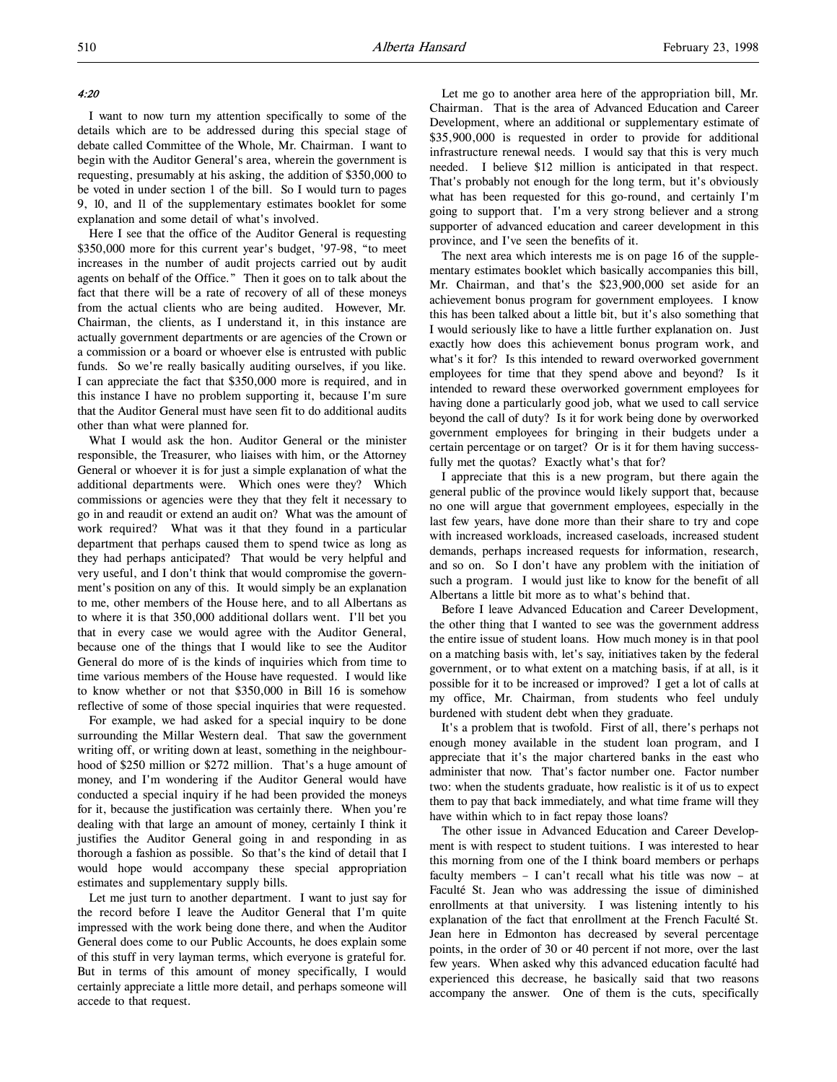## 4:20

I want to now turn my attention specifically to some of the details which are to be addressed during this special stage of debate called Committee of the Whole, Mr. Chairman. I want to begin with the Auditor General's area, wherein the government is requesting, presumably at his asking, the addition of \$350,000 to be voted in under section 1 of the bill. So I would turn to pages 9, 10, and 11 of the supplementary estimates booklet for some explanation and some detail of what's involved.

Here I see that the office of the Auditor General is requesting \$350,000 more for this current year's budget, '97-98, "to meet increases in the number of audit projects carried out by audit agents on behalf of the Office." Then it goes on to talk about the fact that there will be a rate of recovery of all of these moneys from the actual clients who are being audited. However, Mr. Chairman, the clients, as I understand it, in this instance are actually government departments or are agencies of the Crown or a commission or a board or whoever else is entrusted with public funds. So we're really basically auditing ourselves, if you like. I can appreciate the fact that \$350,000 more is required, and in this instance I have no problem supporting it, because I'm sure that the Auditor General must have seen fit to do additional audits other than what were planned for.

What I would ask the hon. Auditor General or the minister responsible, the Treasurer, who liaises with him, or the Attorney General or whoever it is for just a simple explanation of what the additional departments were. Which ones were they? Which commissions or agencies were they that they felt it necessary to go in and reaudit or extend an audit on? What was the amount of work required? What was it that they found in a particular department that perhaps caused them to spend twice as long as they had perhaps anticipated? That would be very helpful and very useful, and I don't think that would compromise the government's position on any of this. It would simply be an explanation to me, other members of the House here, and to all Albertans as to where it is that 350,000 additional dollars went. I'll bet you that in every case we would agree with the Auditor General, because one of the things that I would like to see the Auditor General do more of is the kinds of inquiries which from time to time various members of the House have requested. I would like to know whether or not that \$350,000 in Bill 16 is somehow reflective of some of those special inquiries that were requested.

For example, we had asked for a special inquiry to be done surrounding the Millar Western deal. That saw the government writing off, or writing down at least, something in the neighbourhood of \$250 million or \$272 million. That's a huge amount of money, and I'm wondering if the Auditor General would have conducted a special inquiry if he had been provided the moneys for it, because the justification was certainly there. When you're dealing with that large an amount of money, certainly I think it justifies the Auditor General going in and responding in as thorough a fashion as possible. So that's the kind of detail that I would hope would accompany these special appropriation estimates and supplementary supply bills.

Let me just turn to another department. I want to just say for the record before I leave the Auditor General that I'm quite impressed with the work being done there, and when the Auditor General does come to our Public Accounts, he does explain some of this stuff in very layman terms, which everyone is grateful for. But in terms of this amount of money specifically, I would certainly appreciate a little more detail, and perhaps someone will accede to that request.

Let me go to another area here of the appropriation bill, Mr. Chairman. That is the area of Advanced Education and Career Development, where an additional or supplementary estimate of \$35,900,000 is requested in order to provide for additional infrastructure renewal needs. I would say that this is very much needed. I believe \$12 million is anticipated in that respect. That's probably not enough for the long term, but it's obviously what has been requested for this go-round, and certainly I'm going to support that. I'm a very strong believer and a strong supporter of advanced education and career development in this province, and I've seen the benefits of it.

The next area which interests me is on page 16 of the supplementary estimates booklet which basically accompanies this bill, Mr. Chairman, and that's the \$23,900,000 set aside for an achievement bonus program for government employees. I know this has been talked about a little bit, but it's also something that I would seriously like to have a little further explanation on. Just exactly how does this achievement bonus program work, and what's it for? Is this intended to reward overworked government employees for time that they spend above and beyond? Is it intended to reward these overworked government employees for having done a particularly good job, what we used to call service beyond the call of duty? Is it for work being done by overworked government employees for bringing in their budgets under a certain percentage or on target? Or is it for them having successfully met the quotas? Exactly what's that for?

I appreciate that this is a new program, but there again the general public of the province would likely support that, because no one will argue that government employees, especially in the last few years, have done more than their share to try and cope with increased workloads, increased caseloads, increased student demands, perhaps increased requests for information, research, and so on. So I don't have any problem with the initiation of such a program. I would just like to know for the benefit of all Albertans a little bit more as to what's behind that.

Before I leave Advanced Education and Career Development, the other thing that I wanted to see was the government address the entire issue of student loans. How much money is in that pool on a matching basis with, let's say, initiatives taken by the federal government, or to what extent on a matching basis, if at all, is it possible for it to be increased or improved? I get a lot of calls at my office, Mr. Chairman, from students who feel unduly burdened with student debt when they graduate.

It's a problem that is twofold. First of all, there's perhaps not enough money available in the student loan program, and I appreciate that it's the major chartered banks in the east who administer that now. That's factor number one. Factor number two: when the students graduate, how realistic is it of us to expect them to pay that back immediately, and what time frame will they have within which to in fact repay those loans?

The other issue in Advanced Education and Career Development is with respect to student tuitions. I was interested to hear this morning from one of the I think board members or perhaps faculty members – I can't recall what his title was now – at Faculté St. Jean who was addressing the issue of diminished enrollments at that university. I was listening intently to his explanation of the fact that enrollment at the French Faculté St. Jean here in Edmonton has decreased by several percentage points, in the order of 30 or 40 percent if not more, over the last few years. When asked why this advanced education faculté had experienced this decrease, he basically said that two reasons accompany the answer. One of them is the cuts, specifically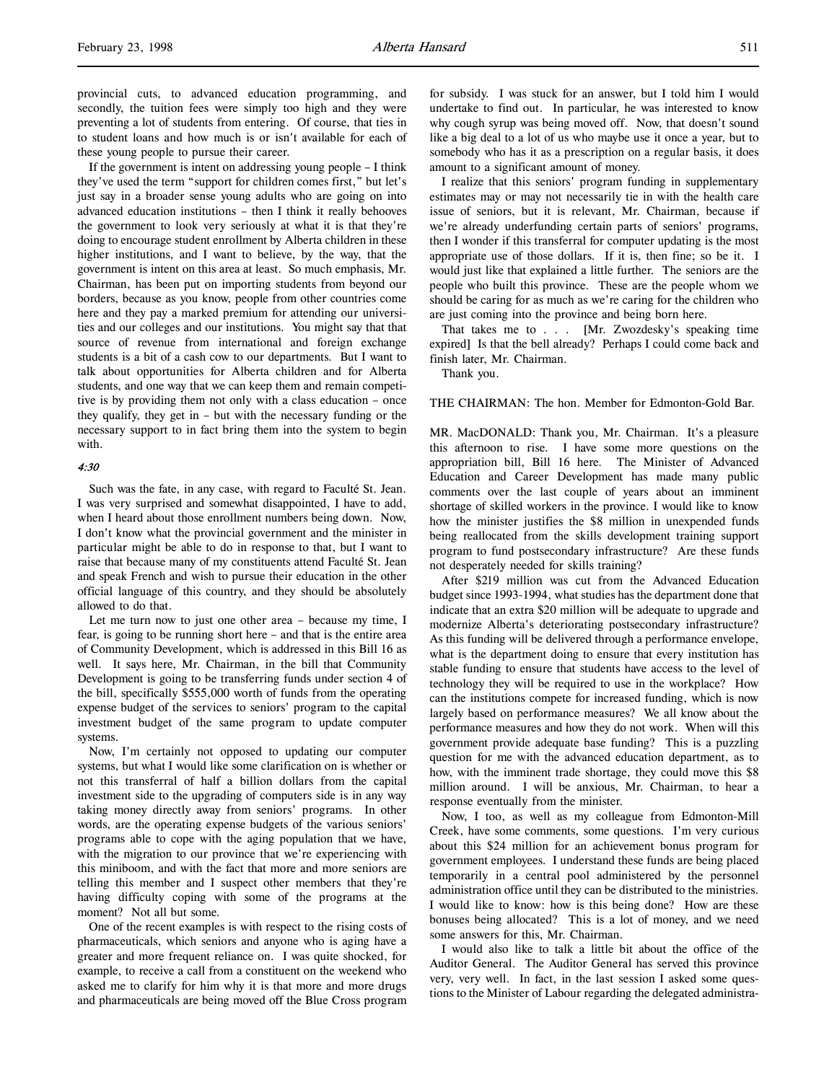provincial cuts, to advanced education programming, and secondly, the tuition fees were simply too high and they were preventing a lot of students from entering. Of course, that ties in to student loans and how much is or isn't available for each of these young people to pursue their career.

If the government is intent on addressing young people – I think they've used the term "support for children comes first," but let's just say in a broader sense young adults who are going on into advanced education institutions – then I think it really behooves the government to look very seriously at what it is that they're doing to encourage student enrollment by Alberta children in these higher institutions, and I want to believe, by the way, that the government is intent on this area at least. So much emphasis, Mr. Chairman, has been put on importing students from beyond our borders, because as you know, people from other countries come here and they pay a marked premium for attending our universities and our colleges and our institutions. You might say that that source of revenue from international and foreign exchange students is a bit of a cash cow to our departments. But I want to talk about opportunities for Alberta children and for Alberta students, and one way that we can keep them and remain competitive is by providing them not only with a class education – once they qualify, they get in – but with the necessary funding or the necessary support to in fact bring them into the system to begin with.

#### 4:30

Such was the fate, in any case, with regard to Faculté St. Jean. I was very surprised and somewhat disappointed, I have to add, when I heard about those enrollment numbers being down. Now, I don't know what the provincial government and the minister in particular might be able to do in response to that, but I want to raise that because many of my constituents attend Faculté St. Jean and speak French and wish to pursue their education in the other official language of this country, and they should be absolutely allowed to do that.

Let me turn now to just one other area – because my time, I fear, is going to be running short here – and that is the entire area of Community Development, which is addressed in this Bill 16 as well. It says here, Mr. Chairman, in the bill that Community Development is going to be transferring funds under section 4 of the bill, specifically \$555,000 worth of funds from the operating expense budget of the services to seniors' program to the capital investment budget of the same program to update computer systems.

Now, I'm certainly not opposed to updating our computer systems, but what I would like some clarification on is whether or not this transferral of half a billion dollars from the capital investment side to the upgrading of computers side is in any way taking money directly away from seniors' programs. In other words, are the operating expense budgets of the various seniors' programs able to cope with the aging population that we have, with the migration to our province that we're experiencing with this miniboom, and with the fact that more and more seniors are telling this member and I suspect other members that they're having difficulty coping with some of the programs at the moment? Not all but some.

One of the recent examples is with respect to the rising costs of pharmaceuticals, which seniors and anyone who is aging have a greater and more frequent reliance on. I was quite shocked, for example, to receive a call from a constituent on the weekend who asked me to clarify for him why it is that more and more drugs and pharmaceuticals are being moved off the Blue Cross program

for subsidy. I was stuck for an answer, but I told him I would undertake to find out. In particular, he was interested to know why cough syrup was being moved off. Now, that doesn't sound like a big deal to a lot of us who maybe use it once a year, but to somebody who has it as a prescription on a regular basis, it does amount to a significant amount of money.

I realize that this seniors' program funding in supplementary estimates may or may not necessarily tie in with the health care issue of seniors, but it is relevant, Mr. Chairman, because if we're already underfunding certain parts of seniors' programs, then I wonder if this transferral for computer updating is the most appropriate use of those dollars. If it is, then fine; so be it. I would just like that explained a little further. The seniors are the people who built this province. These are the people whom we should be caring for as much as we're caring for the children who are just coming into the province and being born here.

That takes me to . . . [Mr. Zwozdesky's speaking time expired] Is that the bell already? Perhaps I could come back and finish later, Mr. Chairman.

Thank you.

THE CHAIRMAN: The hon. Member for Edmonton-Gold Bar.

MR. MacDONALD: Thank you, Mr. Chairman. It's a pleasure this afternoon to rise. I have some more questions on the appropriation bill, Bill 16 here. The Minister of Advanced Education and Career Development has made many public comments over the last couple of years about an imminent shortage of skilled workers in the province. I would like to know how the minister justifies the \$8 million in unexpended funds being reallocated from the skills development training support program to fund postsecondary infrastructure? Are these funds not desperately needed for skills training?

After \$219 million was cut from the Advanced Education budget since 1993-1994, what studies has the department done that indicate that an extra \$20 million will be adequate to upgrade and modernize Alberta's deteriorating postsecondary infrastructure? As this funding will be delivered through a performance envelope, what is the department doing to ensure that every institution has stable funding to ensure that students have access to the level of technology they will be required to use in the workplace? How can the institutions compete for increased funding, which is now largely based on performance measures? We all know about the performance measures and how they do not work. When will this government provide adequate base funding? This is a puzzling question for me with the advanced education department, as to how, with the imminent trade shortage, they could move this \$8 million around. I will be anxious, Mr. Chairman, to hear a response eventually from the minister.

Now, I too, as well as my colleague from Edmonton-Mill Creek, have some comments, some questions. I'm very curious about this \$24 million for an achievement bonus program for government employees. I understand these funds are being placed temporarily in a central pool administered by the personnel administration office until they can be distributed to the ministries. I would like to know: how is this being done? How are these bonuses being allocated? This is a lot of money, and we need some answers for this, Mr. Chairman.

I would also like to talk a little bit about the office of the Auditor General. The Auditor General has served this province very, very well. In fact, in the last session I asked some questions to the Minister of Labour regarding the delegated administra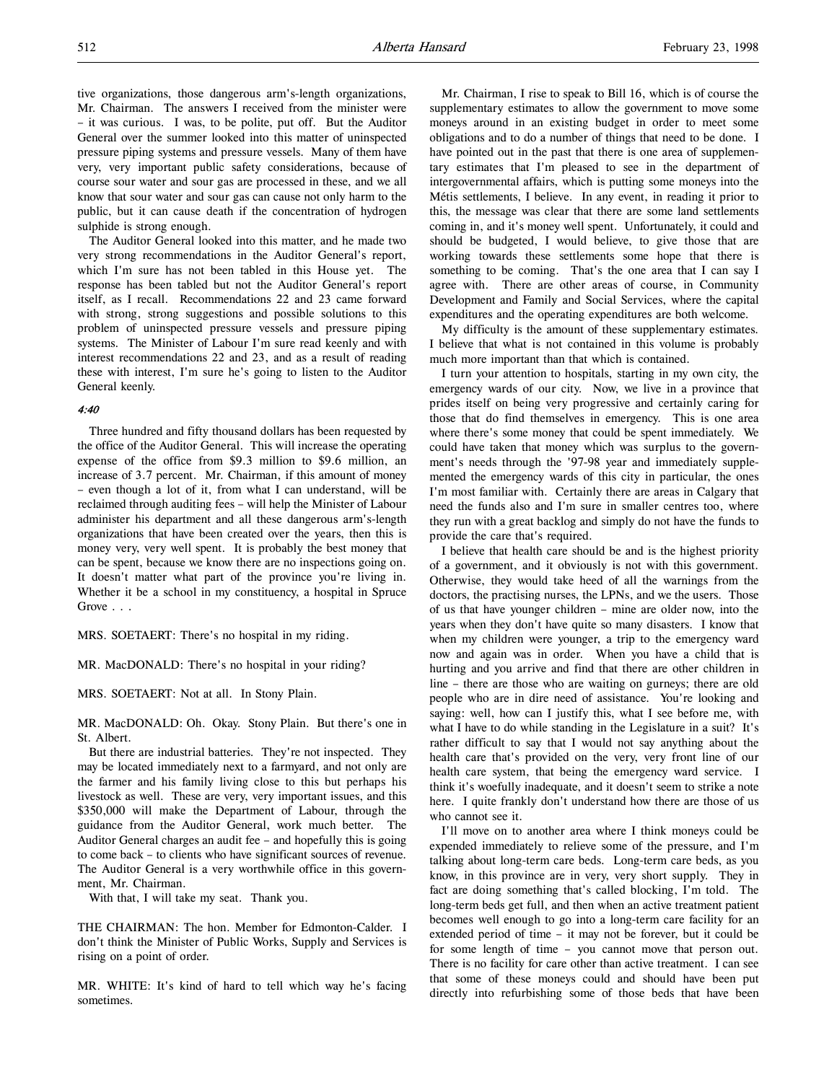tive organizations, those dangerous arm's-length organizations, Mr. Chairman. The answers I received from the minister were – it was curious. I was, to be polite, put off. But the Auditor General over the summer looked into this matter of uninspected pressure piping systems and pressure vessels. Many of them have very, very important public safety considerations, because of course sour water and sour gas are processed in these, and we all know that sour water and sour gas can cause not only harm to the public, but it can cause death if the concentration of hydrogen sulphide is strong enough.

The Auditor General looked into this matter, and he made two very strong recommendations in the Auditor General's report, which I'm sure has not been tabled in this House yet. The response has been tabled but not the Auditor General's report itself, as I recall. Recommendations 22 and 23 came forward with strong, strong suggestions and possible solutions to this problem of uninspected pressure vessels and pressure piping systems. The Minister of Labour I'm sure read keenly and with interest recommendations 22 and 23, and as a result of reading these with interest, I'm sure he's going to listen to the Auditor General keenly.

#### 4:40

Three hundred and fifty thousand dollars has been requested by the office of the Auditor General. This will increase the operating expense of the office from \$9.3 million to \$9.6 million, an increase of 3.7 percent. Mr. Chairman, if this amount of money – even though a lot of it, from what I can understand, will be reclaimed through auditing fees – will help the Minister of Labour administer his department and all these dangerous arm's-length organizations that have been created over the years, then this is money very, very well spent. It is probably the best money that can be spent, because we know there are no inspections going on. It doesn't matter what part of the province you're living in. Whether it be a school in my constituency, a hospital in Spruce Grove . . .

MRS. SOETAERT: There's no hospital in my riding.

MR. MacDONALD: There's no hospital in your riding?

MRS. SOETAERT: Not at all. In Stony Plain.

MR. MacDONALD: Oh. Okay. Stony Plain. But there's one in St. Albert.

But there are industrial batteries. They're not inspected. They may be located immediately next to a farmyard, and not only are the farmer and his family living close to this but perhaps his livestock as well. These are very, very important issues, and this \$350,000 will make the Department of Labour, through the guidance from the Auditor General, work much better. The Auditor General charges an audit fee – and hopefully this is going to come back – to clients who have significant sources of revenue. The Auditor General is a very worthwhile office in this government, Mr. Chairman.

With that, I will take my seat. Thank you.

THE CHAIRMAN: The hon. Member for Edmonton-Calder. I don't think the Minister of Public Works, Supply and Services is rising on a point of order.

MR. WHITE: It's kind of hard to tell which way he's facing sometimes.

Mr. Chairman, I rise to speak to Bill 16, which is of course the supplementary estimates to allow the government to move some moneys around in an existing budget in order to meet some obligations and to do a number of things that need to be done. I have pointed out in the past that there is one area of supplementary estimates that I'm pleased to see in the department of intergovernmental affairs, which is putting some moneys into the Métis settlements, I believe. In any event, in reading it prior to this, the message was clear that there are some land settlements coming in, and it's money well spent. Unfortunately, it could and should be budgeted, I would believe, to give those that are working towards these settlements some hope that there is something to be coming. That's the one area that I can say I agree with. There are other areas of course, in Community Development and Family and Social Services, where the capital expenditures and the operating expenditures are both welcome.

My difficulty is the amount of these supplementary estimates. I believe that what is not contained in this volume is probably much more important than that which is contained.

I turn your attention to hospitals, starting in my own city, the emergency wards of our city. Now, we live in a province that prides itself on being very progressive and certainly caring for those that do find themselves in emergency. This is one area where there's some money that could be spent immediately. We could have taken that money which was surplus to the government's needs through the '97-98 year and immediately supplemented the emergency wards of this city in particular, the ones I'm most familiar with. Certainly there are areas in Calgary that need the funds also and I'm sure in smaller centres too, where they run with a great backlog and simply do not have the funds to provide the care that's required.

I believe that health care should be and is the highest priority of a government, and it obviously is not with this government. Otherwise, they would take heed of all the warnings from the doctors, the practising nurses, the LPNs, and we the users. Those of us that have younger children – mine are older now, into the years when they don't have quite so many disasters. I know that when my children were younger, a trip to the emergency ward now and again was in order. When you have a child that is hurting and you arrive and find that there are other children in line – there are those who are waiting on gurneys; there are old people who are in dire need of assistance. You're looking and saying: well, how can I justify this, what I see before me, with what I have to do while standing in the Legislature in a suit? It's rather difficult to say that I would not say anything about the health care that's provided on the very, very front line of our health care system, that being the emergency ward service. I think it's woefully inadequate, and it doesn't seem to strike a note here. I quite frankly don't understand how there are those of us who cannot see it.

I'll move on to another area where I think moneys could be expended immediately to relieve some of the pressure, and I'm talking about long-term care beds. Long-term care beds, as you know, in this province are in very, very short supply. They in fact are doing something that's called blocking, I'm told. The long-term beds get full, and then when an active treatment patient becomes well enough to go into a long-term care facility for an extended period of time – it may not be forever, but it could be for some length of time – you cannot move that person out. There is no facility for care other than active treatment. I can see that some of these moneys could and should have been put directly into refurbishing some of those beds that have been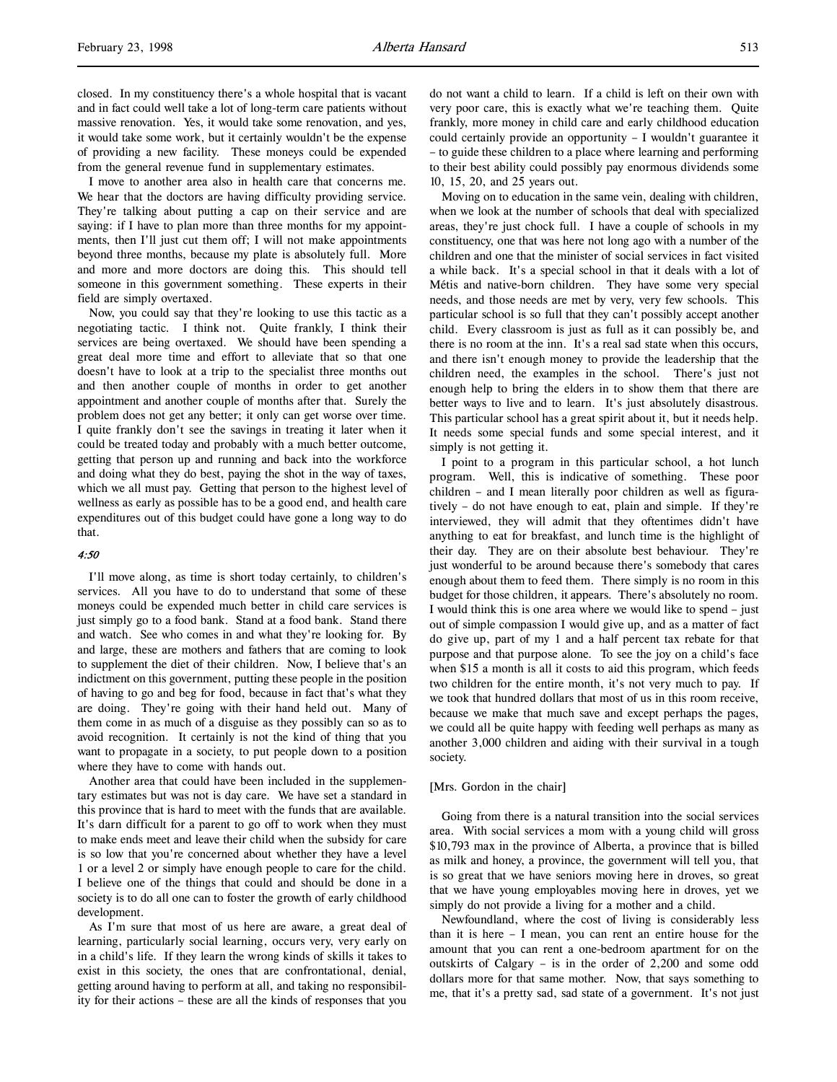closed. In my constituency there's a whole hospital that is vacant and in fact could well take a lot of long-term care patients without massive renovation. Yes, it would take some renovation, and yes, it would take some work, but it certainly wouldn't be the expense of providing a new facility. These moneys could be expended from the general revenue fund in supplementary estimates.

I move to another area also in health care that concerns me. We hear that the doctors are having difficulty providing service. They're talking about putting a cap on their service and are saying: if I have to plan more than three months for my appointments, then I'll just cut them off; I will not make appointments beyond three months, because my plate is absolutely full. More and more and more doctors are doing this. This should tell someone in this government something. These experts in their field are simply overtaxed.

Now, you could say that they're looking to use this tactic as a negotiating tactic. I think not. Quite frankly, I think their services are being overtaxed. We should have been spending a great deal more time and effort to alleviate that so that one doesn't have to look at a trip to the specialist three months out and then another couple of months in order to get another appointment and another couple of months after that. Surely the problem does not get any better; it only can get worse over time. I quite frankly don't see the savings in treating it later when it could be treated today and probably with a much better outcome, getting that person up and running and back into the workforce and doing what they do best, paying the shot in the way of taxes, which we all must pay. Getting that person to the highest level of wellness as early as possible has to be a good end, and health care expenditures out of this budget could have gone a long way to do that.

# 4:50

I'll move along, as time is short today certainly, to children's services. All you have to do to understand that some of these moneys could be expended much better in child care services is just simply go to a food bank. Stand at a food bank. Stand there and watch. See who comes in and what they're looking for. By and large, these are mothers and fathers that are coming to look to supplement the diet of their children. Now, I believe that's an indictment on this government, putting these people in the position of having to go and beg for food, because in fact that's what they are doing. They're going with their hand held out. Many of them come in as much of a disguise as they possibly can so as to avoid recognition. It certainly is not the kind of thing that you want to propagate in a society, to put people down to a position where they have to come with hands out.

Another area that could have been included in the supplementary estimates but was not is day care. We have set a standard in this province that is hard to meet with the funds that are available. It's darn difficult for a parent to go off to work when they must to make ends meet and leave their child when the subsidy for care is so low that you're concerned about whether they have a level 1 or a level 2 or simply have enough people to care for the child. I believe one of the things that could and should be done in a society is to do all one can to foster the growth of early childhood development.

As I'm sure that most of us here are aware, a great deal of learning, particularly social learning, occurs very, very early on in a child's life. If they learn the wrong kinds of skills it takes to exist in this society, the ones that are confrontational, denial, getting around having to perform at all, and taking no responsibility for their actions – these are all the kinds of responses that you

do not want a child to learn. If a child is left on their own with very poor care, this is exactly what we're teaching them. Quite frankly, more money in child care and early childhood education could certainly provide an opportunity – I wouldn't guarantee it – to guide these children to a place where learning and performing to their best ability could possibly pay enormous dividends some 10, 15, 20, and 25 years out.

Moving on to education in the same vein, dealing with children, when we look at the number of schools that deal with specialized areas, they're just chock full. I have a couple of schools in my constituency, one that was here not long ago with a number of the children and one that the minister of social services in fact visited a while back. It's a special school in that it deals with a lot of Métis and native-born children. They have some very special needs, and those needs are met by very, very few schools. This particular school is so full that they can't possibly accept another child. Every classroom is just as full as it can possibly be, and there is no room at the inn. It's a real sad state when this occurs, and there isn't enough money to provide the leadership that the children need, the examples in the school. There's just not enough help to bring the elders in to show them that there are better ways to live and to learn. It's just absolutely disastrous. This particular school has a great spirit about it, but it needs help. It needs some special funds and some special interest, and it simply is not getting it.

I point to a program in this particular school, a hot lunch program. Well, this is indicative of something. These poor children – and I mean literally poor children as well as figuratively – do not have enough to eat, plain and simple. If they're interviewed, they will admit that they oftentimes didn't have anything to eat for breakfast, and lunch time is the highlight of their day. They are on their absolute best behaviour. They're just wonderful to be around because there's somebody that cares enough about them to feed them. There simply is no room in this budget for those children, it appears. There's absolutely no room. I would think this is one area where we would like to spend – just out of simple compassion I would give up, and as a matter of fact do give up, part of my 1 and a half percent tax rebate for that purpose and that purpose alone. To see the joy on a child's face when \$15 a month is all it costs to aid this program, which feeds two children for the entire month, it's not very much to pay. If we took that hundred dollars that most of us in this room receive, because we make that much save and except perhaps the pages, we could all be quite happy with feeding well perhaps as many as another 3,000 children and aiding with their survival in a tough society.

#### [Mrs. Gordon in the chair]

Going from there is a natural transition into the social services area. With social services a mom with a young child will gross \$10,793 max in the province of Alberta, a province that is billed as milk and honey, a province, the government will tell you, that is so great that we have seniors moving here in droves, so great that we have young employables moving here in droves, yet we simply do not provide a living for a mother and a child.

Newfoundland, where the cost of living is considerably less than it is here – I mean, you can rent an entire house for the amount that you can rent a one-bedroom apartment for on the outskirts of Calgary – is in the order of 2,200 and some odd dollars more for that same mother. Now, that says something to me, that it's a pretty sad, sad state of a government. It's not just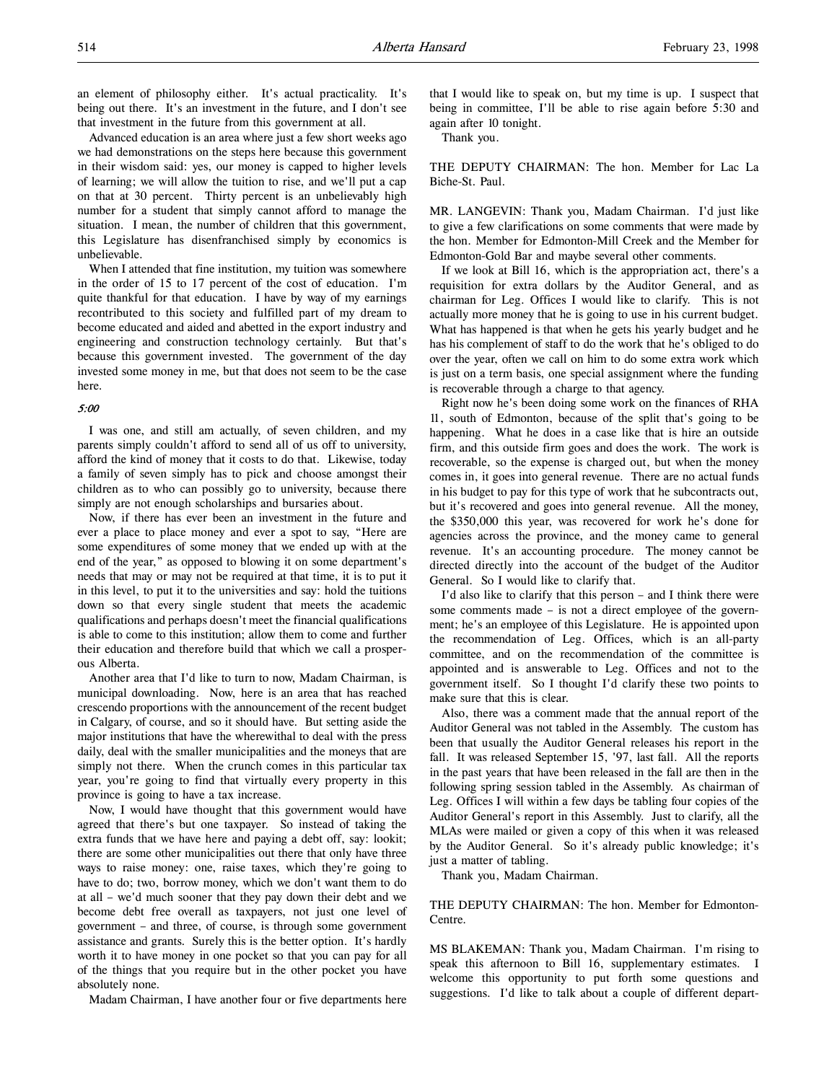Advanced education is an area where just a few short weeks ago we had demonstrations on the steps here because this government in their wisdom said: yes, our money is capped to higher levels of learning; we will allow the tuition to rise, and we'll put a cap on that at 30 percent. Thirty percent is an unbelievably high number for a student that simply cannot afford to manage the situation. I mean, the number of children that this government, this Legislature has disenfranchised simply by economics is unbelievable.

When I attended that fine institution, my tuition was somewhere in the order of 15 to 17 percent of the cost of education. I'm quite thankful for that education. I have by way of my earnings recontributed to this society and fulfilled part of my dream to become educated and aided and abetted in the export industry and engineering and construction technology certainly. But that's because this government invested. The government of the day invested some money in me, but that does not seem to be the case here.

### 5:00

I was one, and still am actually, of seven children, and my parents simply couldn't afford to send all of us off to university, afford the kind of money that it costs to do that. Likewise, today a family of seven simply has to pick and choose amongst their children as to who can possibly go to university, because there simply are not enough scholarships and bursaries about.

Now, if there has ever been an investment in the future and ever a place to place money and ever a spot to say, "Here are some expenditures of some money that we ended up with at the end of the year," as opposed to blowing it on some department's needs that may or may not be required at that time, it is to put it in this level, to put it to the universities and say: hold the tuitions down so that every single student that meets the academic qualifications and perhaps doesn't meet the financial qualifications is able to come to this institution; allow them to come and further their education and therefore build that which we call a prosperous Alberta.

Another area that I'd like to turn to now, Madam Chairman, is municipal downloading. Now, here is an area that has reached crescendo proportions with the announcement of the recent budget in Calgary, of course, and so it should have. But setting aside the major institutions that have the wherewithal to deal with the press daily, deal with the smaller municipalities and the moneys that are simply not there. When the crunch comes in this particular tax year, you're going to find that virtually every property in this province is going to have a tax increase.

Now, I would have thought that this government would have agreed that there's but one taxpayer. So instead of taking the extra funds that we have here and paying a debt off, say: lookit; there are some other municipalities out there that only have three ways to raise money: one, raise taxes, which they're going to have to do; two, borrow money, which we don't want them to do at all – we'd much sooner that they pay down their debt and we become debt free overall as taxpayers, not just one level of government – and three, of course, is through some government assistance and grants. Surely this is the better option. It's hardly worth it to have money in one pocket so that you can pay for all of the things that you require but in the other pocket you have absolutely none.

Madam Chairman, I have another four or five departments here

that I would like to speak on, but my time is up. I suspect that being in committee, I'll be able to rise again before 5:30 and again after 10 tonight.

Thank you.

THE DEPUTY CHAIRMAN: The hon. Member for Lac La Biche-St. Paul.

MR. LANGEVIN: Thank you, Madam Chairman. I'd just like to give a few clarifications on some comments that were made by the hon. Member for Edmonton-Mill Creek and the Member for Edmonton-Gold Bar and maybe several other comments.

If we look at Bill 16, which is the appropriation act, there's a requisition for extra dollars by the Auditor General, and as chairman for Leg. Offices I would like to clarify. This is not actually more money that he is going to use in his current budget. What has happened is that when he gets his yearly budget and he has his complement of staff to do the work that he's obliged to do over the year, often we call on him to do some extra work which is just on a term basis, one special assignment where the funding is recoverable through a charge to that agency.

Right now he's been doing some work on the finances of RHA 11, south of Edmonton, because of the split that's going to be happening. What he does in a case like that is hire an outside firm, and this outside firm goes and does the work. The work is recoverable, so the expense is charged out, but when the money comes in, it goes into general revenue. There are no actual funds in his budget to pay for this type of work that he subcontracts out, but it's recovered and goes into general revenue. All the money, the \$350,000 this year, was recovered for work he's done for agencies across the province, and the money came to general revenue. It's an accounting procedure. The money cannot be directed directly into the account of the budget of the Auditor General. So I would like to clarify that.

I'd also like to clarify that this person – and I think there were some comments made – is not a direct employee of the government; he's an employee of this Legislature. He is appointed upon the recommendation of Leg. Offices, which is an all-party committee, and on the recommendation of the committee is appointed and is answerable to Leg. Offices and not to the government itself. So I thought I'd clarify these two points to make sure that this is clear.

Also, there was a comment made that the annual report of the Auditor General was not tabled in the Assembly. The custom has been that usually the Auditor General releases his report in the fall. It was released September 15, '97, last fall. All the reports in the past years that have been released in the fall are then in the following spring session tabled in the Assembly. As chairman of Leg. Offices I will within a few days be tabling four copies of the Auditor General's report in this Assembly. Just to clarify, all the MLAs were mailed or given a copy of this when it was released by the Auditor General. So it's already public knowledge; it's just a matter of tabling.

Thank you, Madam Chairman.

THE DEPUTY CHAIRMAN: The hon. Member for Edmonton-Centre.

MS BLAKEMAN: Thank you, Madam Chairman. I'm rising to speak this afternoon to Bill 16, supplementary estimates. I welcome this opportunity to put forth some questions and suggestions. I'd like to talk about a couple of different depart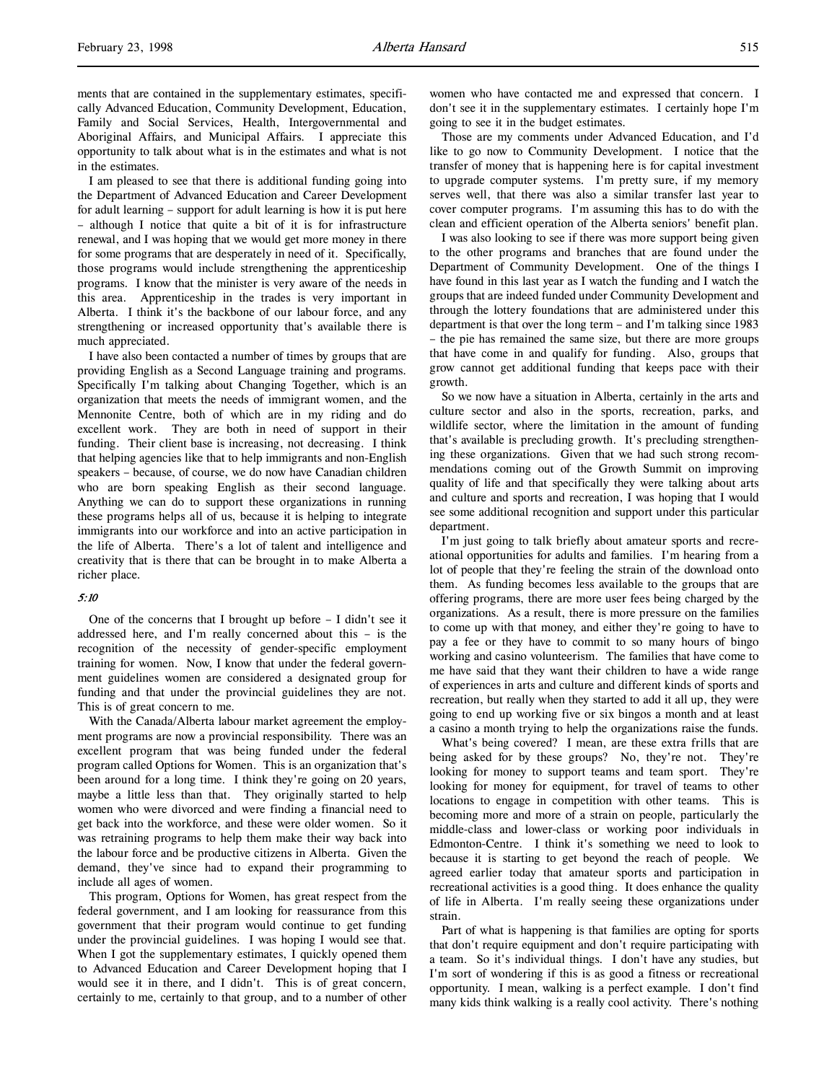ments that are contained in the supplementary estimates, specifically Advanced Education, Community Development, Education, Family and Social Services, Health, Intergovernmental and Aboriginal Affairs, and Municipal Affairs. I appreciate this opportunity to talk about what is in the estimates and what is not in the estimates.

I am pleased to see that there is additional funding going into the Department of Advanced Education and Career Development for adult learning – support for adult learning is how it is put here – although I notice that quite a bit of it is for infrastructure renewal, and I was hoping that we would get more money in there for some programs that are desperately in need of it. Specifically, those programs would include strengthening the apprenticeship programs. I know that the minister is very aware of the needs in this area. Apprenticeship in the trades is very important in Alberta. I think it's the backbone of our labour force, and any strengthening or increased opportunity that's available there is much appreciated.

I have also been contacted a number of times by groups that are providing English as a Second Language training and programs. Specifically I'm talking about Changing Together, which is an organization that meets the needs of immigrant women, and the Mennonite Centre, both of which are in my riding and do excellent work. They are both in need of support in their funding. Their client base is increasing, not decreasing. I think that helping agencies like that to help immigrants and non-English speakers – because, of course, we do now have Canadian children who are born speaking English as their second language. Anything we can do to support these organizations in running these programs helps all of us, because it is helping to integrate immigrants into our workforce and into an active participation in the life of Alberta. There's a lot of talent and intelligence and creativity that is there that can be brought in to make Alberta a richer place.

#### 5:10

One of the concerns that I brought up before – I didn't see it addressed here, and I'm really concerned about this – is the recognition of the necessity of gender-specific employment training for women. Now, I know that under the federal government guidelines women are considered a designated group for funding and that under the provincial guidelines they are not. This is of great concern to me.

With the Canada/Alberta labour market agreement the employment programs are now a provincial responsibility. There was an excellent program that was being funded under the federal program called Options for Women. This is an organization that's been around for a long time. I think they're going on 20 years, maybe a little less than that. They originally started to help women who were divorced and were finding a financial need to get back into the workforce, and these were older women. So it was retraining programs to help them make their way back into the labour force and be productive citizens in Alberta. Given the demand, they've since had to expand their programming to include all ages of women.

This program, Options for Women, has great respect from the federal government, and I am looking for reassurance from this government that their program would continue to get funding under the provincial guidelines. I was hoping I would see that. When I got the supplementary estimates, I quickly opened them to Advanced Education and Career Development hoping that I would see it in there, and I didn't. This is of great concern, certainly to me, certainly to that group, and to a number of other

women who have contacted me and expressed that concern. I don't see it in the supplementary estimates. I certainly hope I'm going to see it in the budget estimates.

Those are my comments under Advanced Education, and I'd like to go now to Community Development. I notice that the transfer of money that is happening here is for capital investment to upgrade computer systems. I'm pretty sure, if my memory serves well, that there was also a similar transfer last year to cover computer programs. I'm assuming this has to do with the clean and efficient operation of the Alberta seniors' benefit plan.

I was also looking to see if there was more support being given to the other programs and branches that are found under the Department of Community Development. One of the things I have found in this last year as I watch the funding and I watch the groups that are indeed funded under Community Development and through the lottery foundations that are administered under this department is that over the long term – and I'm talking since 1983 – the pie has remained the same size, but there are more groups that have come in and qualify for funding. Also, groups that grow cannot get additional funding that keeps pace with their growth.

So we now have a situation in Alberta, certainly in the arts and culture sector and also in the sports, recreation, parks, and wildlife sector, where the limitation in the amount of funding that's available is precluding growth. It's precluding strengthening these organizations. Given that we had such strong recommendations coming out of the Growth Summit on improving quality of life and that specifically they were talking about arts and culture and sports and recreation, I was hoping that I would see some additional recognition and support under this particular department.

I'm just going to talk briefly about amateur sports and recreational opportunities for adults and families. I'm hearing from a lot of people that they're feeling the strain of the download onto them. As funding becomes less available to the groups that are offering programs, there are more user fees being charged by the organizations. As a result, there is more pressure on the families to come up with that money, and either they're going to have to pay a fee or they have to commit to so many hours of bingo working and casino volunteerism. The families that have come to me have said that they want their children to have a wide range of experiences in arts and culture and different kinds of sports and recreation, but really when they started to add it all up, they were going to end up working five or six bingos a month and at least a casino a month trying to help the organizations raise the funds.

What's being covered? I mean, are these extra frills that are being asked for by these groups? No, they're not. They're looking for money to support teams and team sport. They're looking for money for equipment, for travel of teams to other locations to engage in competition with other teams. This is becoming more and more of a strain on people, particularly the middle-class and lower-class or working poor individuals in Edmonton-Centre. I think it's something we need to look to because it is starting to get beyond the reach of people. We agreed earlier today that amateur sports and participation in recreational activities is a good thing. It does enhance the quality of life in Alberta. I'm really seeing these organizations under strain.

Part of what is happening is that families are opting for sports that don't require equipment and don't require participating with a team. So it's individual things. I don't have any studies, but I'm sort of wondering if this is as good a fitness or recreational opportunity. I mean, walking is a perfect example. I don't find many kids think walking is a really cool activity. There's nothing